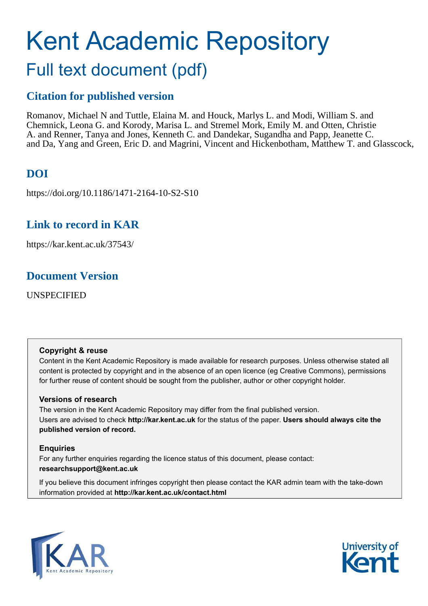# Kent Academic Repository Full text document (pdf)

## **Citation for published version**

Romanov, Michael N and Tuttle, Elaina M. and Houck, Marlys L. and Modi, William S. and Chemnick, Leona G. and Korody, Marisa L. and Stremel Mork, Emily M. and Otten, Christie A. and Renner, Tanya and Jones, Kenneth C. and Dandekar, Sugandha and Papp, Jeanette C. and Da, Yang and Green, Eric D. and Magrini, Vincent and Hickenbotham, Matthew T. and Glasscock,

## **DOI**

https://doi.org/10.1186/1471-2164-10-S2-S10

## **Link to record in KAR**

https://kar.kent.ac.uk/37543/

## **Document Version**

UNSPECIFIED

## **Copyright & reuse**

Content in the Kent Academic Repository is made available for research purposes. Unless otherwise stated all content is protected by copyright and in the absence of an open licence (eg Creative Commons), permissions for further reuse of content should be sought from the publisher, author or other copyright holder.

## **Versions of research**

The version in the Kent Academic Repository may differ from the final published version. Users are advised to check **http://kar.kent.ac.uk** for the status of the paper. **Users should always cite the published version of record.**

## **Enquiries**

For any further enquiries regarding the licence status of this document, please contact: **researchsupport@kent.ac.uk**

If you believe this document infringes copyright then please contact the KAR admin team with the take-down information provided at **http://kar.kent.ac.uk/contact.html**



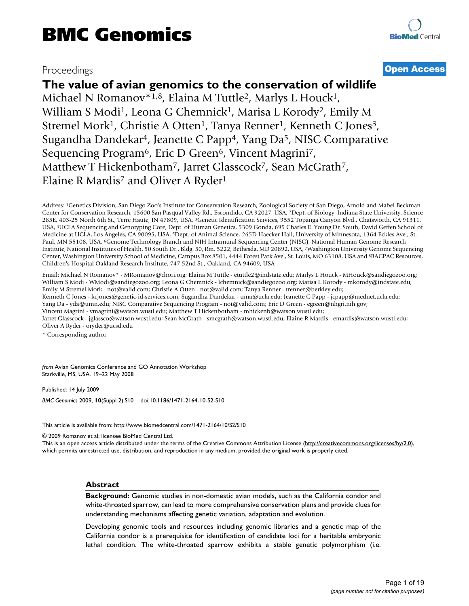## Proceedings **[Open Access](http://www.biomedcentral.com/info/about/charter/)**

**The value of avian genomics to the conservation of wildlife**

Michael N Romanov\*<sup>1,8</sup>, Elaina M Tuttle<sup>2</sup>, Marlys L Houck<sup>1</sup>, William S Modi<sup>1</sup>, Leona G Chemnick<sup>1</sup>, Marisa L Korody<sup>2</sup>, Emily M Stremel Mork<sup>1</sup>, Christie A Otten<sup>1</sup>, Tanya Renner<sup>1</sup>, Kenneth C Jones<sup>3</sup>, Sugandha Dandekar<sup>4</sup>, Jeanette C Papp<sup>4</sup>, Yang Da<sup>5</sup>, NISC Comparative Sequencing Program<sup>6</sup>, Eric D Green<sup>6</sup>, Vincent Magrini<sup>7</sup>, Matthew T Hickenbotham<sup>7</sup>, Jarret Glasscock<sup>7</sup>, Sean McGrath<sup>7</sup>, Elaine R Mardis<sup>7</sup> and Oliver A Ryder<sup>1</sup>

Address: <sup>1</sup>Genetics Division, San Diego Zoo's Institute for Conservation Research, Zoological Society of San Diego, Arnold and Mabel Beckman Center for Conservation Research, 15600 San Pasqual Valley Rd., Escondido, CA 92027, USA, <sup>2</sup>Dept. of Biology, Indiana State University, Science 285E, 403-25 North 6th St., Terre Haute, IN 47809, USA, <sup>3</sup>Genetic Identification Services, 9552 Topanga Canyon Blvd., Chatsworth, CA 91311, USA, <sup>4</sup>UCLA Sequencing and Genotyping Core, Dept. of Human Genetics, 5309 Gonda, 695 Charles E. Young Dr. South, David Geffen School of Medicine at UCLA, Los Angeles, CA 90095, USA, <sup>5</sup>Dept. of Animal Science, 265D Haecker Hall, University of Minnesota, 1364 Eckles Ave., St. Paul, MN 55108, USA, <sup>6</sup>Genome Technology Branch and NIH Intramural Sequencing Center (NISC), National Human Genome Research Institute, National Institutes of Health, 50 South Dr., Bldg. 50, Rm. 5222, Bethesda, MD 20892, USA, <sup>7</sup>Washington University Genome Sequencing Center, Washington University School of Medicine, Campus Box 8501, 4444 Forest Park Ave., St. Louis, MO 63108, USA and <sup>8</sup>BACPAC Resources, Children's Hospital Oakland Research Institute, 747 52nd St., Oakland, CA 94609, USA

Email: Michael N Romanov\* - MRomanov@chori.org; Elaina M Tuttle - etuttle2@indstate.edu; Marlys L Houck - MHouck@sandiegozoo.org; William S Modi - WModi@sandiegozoo.org; Leona G Chemnick - lchemnick@sandiegozoo.org; Marisa L Korody - mkorody@indstate.edu; Emily M Stremel Mork - not@valid.com; Christie A Otten - not@valid.com; Tanya Renner - trenner@berkley.edu; Kenneth C Jones - kcjones@genetic-id-services.com; Sugandha Dandekar - uma@ucla.edu; Jeanette C Papp - jcpapp@mednet.ucla.edu; Yang Da - yda@umn.edu; NISC Comparative Sequencing Program - not@valid.com; Eric D Green - egreen@nhgri.nih.gov;

Vincent Magrini - vmagrini@watson.wustl.edu; Matthew T Hickenbotham - mhickenb@watson.wustl.edu;

Jarret Glasscock - jglassco@watson.wustl.edu; Sean McGrath - smcgrath@watson.wustl.edu; Elaine R Mardis - emardis@watson.wustl.edu; Oliver A Ryder - oryder@ucsd.edu

\* Corresponding author

*from* Avian Genomics Conference and GO Annotation Workshop Starkville, MS, USA. 19–22 May 2008

Published: 14 July 2009

*BMC Genomics* 2009, **10**(Suppl 2):S10 doi:10.1186/1471-2164-10-S2-S10

[This article is available from: http://www.biomedcentral.com/1471-2164/10/S2/S10](http://www.biomedcentral.com/1471-2164/10/S2/S10)

© 2009 Romanov et al; licensee BioMed Central Ltd.

This is an open access article distributed under the terms of the Creative Commons Attribution License [\(http://creativecommons.org/licenses/by/2.0\)](http://creativecommons.org/licenses/by/2.0), which permits unrestricted use, distribution, and reproduction in any medium, provided the original work is properly cited.

#### **Abstract**

**Background:** Genomic studies in non-domestic avian models, such as the California condor and white-throated sparrow, can lead to more comprehensive conservation plans and provide clues for understanding mechanisms affecting genetic variation, adaptation and evolution.

Developing genomic tools and resources including genomic libraries and a genetic map of the California condor is a prerequisite for identification of candidate loci for a heritable embryonic lethal condition. The white-throated sparrow exhibits a stable genetic polymorphism (i.e.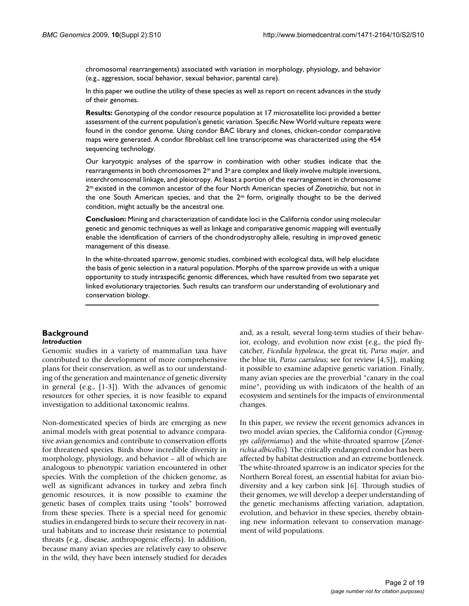chromosomal rearrangements) associated with variation in morphology, physiology, and behavior (e.g., aggression, social behavior, sexual behavior, parental care).

In this paper we outline the utility of these species as well as report on recent advances in the study of their genomes.

**Results:** Genotyping of the condor resource population at 17 microsatellite loci provided a better assessment of the current population's genetic variation. Specific New World vulture repeats were found in the condor genome. Using condor BAC library and clones, chicken-condor comparative maps were generated. A condor fibroblast cell line transcriptome was characterized using the 454 sequencing technology.

Our karyotypic analyses of the sparrow in combination with other studies indicate that the rearrangements in both chromosomes  $2<sup>m</sup>$  and  $3<sup>a</sup>$  are complex and likely involve multiple inversions, interchromosomal linkage, and pleiotropy. At least a portion of the rearrangement in chromosome 2<sup>m</sup>existed in the common ancestor of the four North American species of *Zonotrichia*, but not in the one South American species, and that the  $2<sup>m</sup>$  form, originally thought to be the derived condition, might actually be the ancestral one.

**Conclusion:** Mining and characterization of candidate loci in the California condor using molecular genetic and genomic techniques as well as linkage and comparative genomic mapping will eventually enable the identification of carriers of the chondrodystrophy allele, resulting in improved genetic management of this disease.

In the white-throated sparrow, genomic studies, combined with ecological data, will help elucidate the basis of genic selection in a natural population. Morphs of the sparrow provide us with a unique opportunity to study intraspecific genomic differences, which have resulted from two separate yet linked evolutionary trajectories. Such results can transform our understanding of evolutionary and conservation biology.

#### **Background** *Introduction*

Genomic studies in a variety of mammalian taxa have contributed to the development of more comprehensive plans for their conservation, as well as to our understanding of the generation and maintenance of genetic diversity in general (e.g., [1-3]). With the advances of genomic resources for other species, it is now feasible to expand investigation to additional taxonomic realms.

Non-domesticated species of birds are emerging as new animal models with great potential to advance comparative avian genomics and contribute to conservation efforts for threatened species. Birds show incredible diversity in morphology, physiology, and behavior – all of which are analogous to phenotypic variation encountered in other species. With the completion of the chicken genome, as well as significant advances in turkey and zebra finch genomic resources, it is now possible to examine the genetic bases of complex traits using "tools" borrowed from these species. There is a special need for genomic studies in endangered birds to secure their recovery in natural habitats and to increase their resistance to potential threats (e.g., disease, anthropogenic effects). In addition, because many avian species are relatively easy to observe in the wild, they have been intensely studied for decades and, as a result, several long-term studies of their behavior, ecology, and evolution now exist (e.g., the pied flycatcher, *Ficedula hypoleuca*, the great tit, *Parus major*, and the blue tit, *Parus caeruleus*; see for review [4,5]), making it possible to examine adaptive genetic variation. Finally, many avian species are the proverbial "canary in the coal mine", providing us with indicators of the health of an ecosystem and sentinels for the impacts of environmental changes.

In this paper, we review the recent genomics advances in two model avian species, the California condor (*Gymnogyps californianus*) and the white-throated sparrow (*Zonotrichia albicollis*). The critically endangered condor has been affected by habitat destruction and an extreme bottleneck. The white-throated sparrow is an indicator species for the Northern Boreal forest, an essential habitat for avian biodiversity and a key carbon sink [6]. Through studies of their genomes, we will develop a deeper understanding of the genetic mechanisms affecting variation, adaptation, evolution, and behavior in these species, thereby obtaining new information relevant to conservation management of wild populations.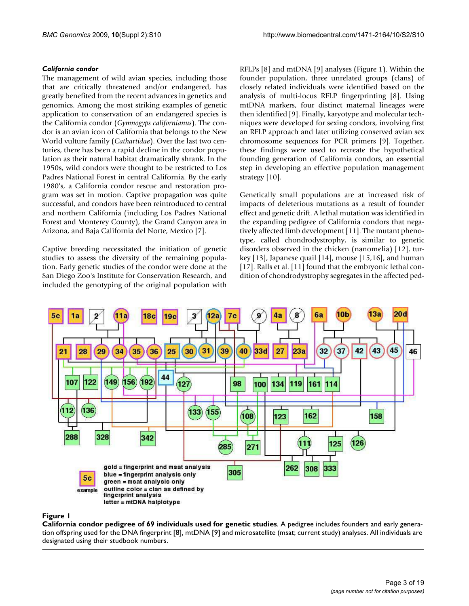#### *California condor*

The management of wild avian species, including those that are critically threatened and/or endangered, has greatly benefited from the recent advances in genetics and genomics. Among the most striking examples of genetic application to conservation of an endangered species is the California condor (*Gymnogyps californianus*). The condor is an avian icon of California that belongs to the New World vulture family (*Cathartidae*). Over the last two centuries, there has been a rapid decline in the condor population as their natural habitat dramatically shrank. In the 1950s, wild condors were thought to be restricted to Los Padres National Forest in central California. By the early 1980's, a California condor rescue and restoration program was set in motion. Captive propagation was quite successful, and condors have been reintroduced to central and northern California (including Los Padres National Forest and Monterey County), the Grand Canyon area in Arizona, and Baja California del Norte, Mexico [7].

Captive breeding necessitated the initiation of genetic studies to assess the diversity of the remaining population. Early genetic studies of the condor were done at the San Diego Zoo's Institute for Conservation Research, and included the genotyping of the original population with RFLPs [8] and mtDNA [9] analyses (Figure 1). Within the founder population, three unrelated groups (clans) of closely related individuals were identified based on the analysis of multi-locus RFLP fingerprinting [8]. Using mtDNA markers, four distinct maternal lineages were then identified [9]. Finally, karyotype and molecular techniques were developed for sexing condors, involving first an RFLP approach and later utilizing conserved avian sex chromosome sequences for PCR primers [9]. Together, these findings were used to recreate the hypothetical founding generation of California condors, an essential step in developing an effective population management strategy [10].

Genetically small populations are at increased risk of impacts of deleterious mutations as a result of founder effect and genetic drift. A lethal mutation was identified in the expanding pedigree of California condors that negatively affected limb development [11]. The mutant phenotype, called chondrodystrophy, is similar to genetic disorders observed in the chicken (nanomelia) [12], turkey [13], Japanese quail [14], mouse [15,16], and human [17]. Ralls et al. [11] found that the embryonic lethal condition of chondrodystrophy segregates in the affected ped-



#### Figure 1

**California condor pedigree of 69 individuals used for genetic studies**. A pedigree includes founders and early generation offspring used for the DNA fingerprint [8], mtDNA [9] and microsatellite (msat; current study) analyses. All individuals are designated using their studbook numbers.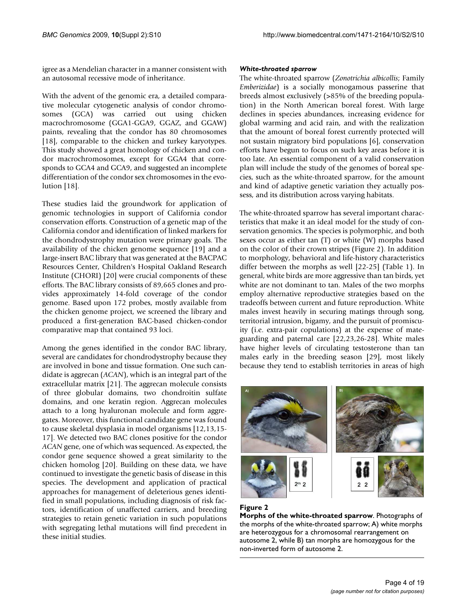igree as a Mendelian character in a manner consistent with an autosomal recessive mode of inheritance.

With the advent of the genomic era, a detailed comparative molecular cytogenetic analysis of condor chromosomes (GCA) was carried out using chicken macrochromosome (GGA1-GGA9, GGAZ, and GGAW) paints, revealing that the condor has 80 chromosomes [18], comparable to the chicken and turkey karyotypes. This study showed a great homology of chicken and condor macrochromosomes, except for GGA4 that corresponds to GCA4 and GCA9, and suggested an incomplete differentiation of the condor sex chromosomes in the evolution [18].

These studies laid the groundwork for application of genomic technologies in support of California condor conservation efforts. Construction of a genetic map of the California condor and identification of linked markers for the chondrodystrophy mutation were primary goals. The availability of the chicken genome sequence [19] and a large-insert BAC library that was generated at the BACPAC Resources Center, Children's Hospital Oakland Research Institute (CHORI) [20] were crucial components of these efforts. The BAC library consists of 89,665 clones and provides approximately 14-fold coverage of the condor genome. Based upon 172 probes, mostly available from the chicken genome project, we screened the library and produced a first-generation BAC-based chicken-condor comparative map that contained 93 loci.

Among the genes identified in the condor BAC library, several are candidates for chondrodystrophy because they are involved in bone and tissue formation. One such candidate is aggrecan (*ACAN*), which is an integral part of the extracellular matrix [21]. The aggrecan molecule consists of three globular domains, two chondroitin sulfate domains, and one keratin region. Aggrecan molecules attach to a long hyaluronan molecule and form aggregates. Moreover, this functional candidate gene was found to cause skeletal dysplasia in model organisms [12,13,15- 17]. We detected two BAC clones positive for the condor *ACAN* gene, one of which was sequenced. As expected, the condor gene sequence showed a great similarity to the chicken homolog [20]. Building on these data, we have continued to investigate the genetic basis of disease in this species. The development and application of practical approaches for management of deleterious genes identified in small populations, including diagnosis of risk factors, identification of unaffected carriers, and breeding strategies to retain genetic variation in such populations with segregating lethal mutations will find precedent in these initial studies.

#### *White-throated sparrow*

The white-throated sparrow (*Zonotrichia albicollis*; Family *Emberizidae*) is a socially monogamous passerine that breeds almost exclusively (>85% of the breeding population) in the North American boreal forest. With large declines in species abundances, increasing evidence for global warming and acid rain, and with the realization that the amount of boreal forest currently protected will not sustain migratory bird populations [6], conservation efforts have begun to focus on such key areas before it is too late. An essential component of a valid conservation plan will include the study of the genomes of boreal species, such as the white-throated sparrow, for the amount and kind of adaptive genetic variation they actually possess, and its distribution across varying habitats.

The white-throated sparrow has several important characteristics that make it an ideal model for the study of conservation genomics. The species is polymorphic, and both sexes occur as either tan (T) or white (W) morphs based on the color of their crown stripes (Figure 2). In addition to morphology, behavioral and life-history characteristics differ between the morphs as well [22-25] (Table 1). In general, white birds are more aggressive than tan birds, yet white are not dominant to tan. Males of the two morphs employ alternative reproductive strategies based on the tradeoffs between current and future reproduction. White males invest heavily in securing matings through song, territorial intrusion, bigamy, and the pursuit of promiscuity (i.e. extra-pair copulations) at the expense of mateguarding and paternal care [22,23,26-28]. White males have higher levels of circulating testosterone than tan males early in the breeding season [29], most likely because they tend to establish territories in areas of high



#### **Figure 2**

**Morphs of the white-throated sparrow**. Photographs of the morphs of the white-throated sparrow; A) white morphs are heterozygous for a chromosomal rearrangement on autosome 2, while B) tan morphs are homozygous for the non-inverted form of autosome 2.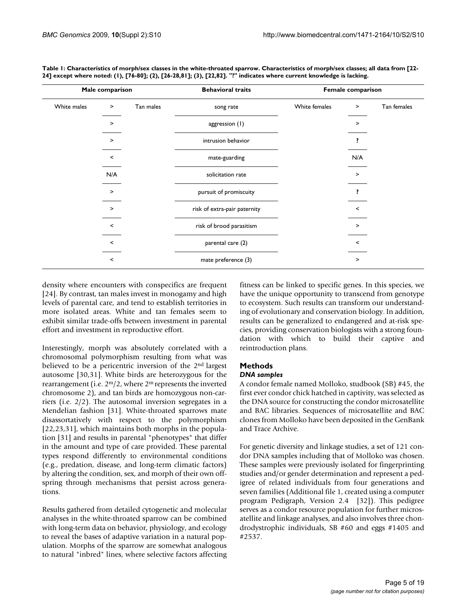| Male comparison             |                     |                   | <b>Behavioral traits</b>     | Female comparison |         |             |  |
|-----------------------------|---------------------|-------------------|------------------------------|-------------------|---------|-------------|--|
| White males                 | Tan males<br>$\geq$ |                   | song rate                    | White females     | $\geq$  | Tan females |  |
| $\geq$<br>$\geq$<br>$\prec$ |                     | aggression (1)    |                              | $\geq$            |         |             |  |
|                             |                     |                   | intrusion behavior           |                   | ?       |             |  |
|                             |                     |                   | mate-guarding                |                   | N/A     |             |  |
| N/A                         |                     | solicitation rate |                              | $\geq$            |         |             |  |
|                             | $\,>\,$             |                   | pursuit of promiscuity       |                   | ŗ       |             |  |
|                             | $\geq$              |                   | risk of extra-pair paternity |                   | $\prec$ |             |  |
| $\prec$                     |                     |                   | risk of brood parasitism     |                   | $\geq$  |             |  |
|                             | $\prec$             |                   | parental care (2)            |                   | $\,<$   |             |  |
|                             | $\,<$               |                   | mate preference (3)          |                   | $\,>\,$ |             |  |

**Table 1: Characteristics of morph/sex classes in the white-throated sparrow. Characteristics of morph/sex classes; all data from [22- 24] except where noted: (1), [76-80]; (2), [26-28,81]; (3), [22,82]. "?" indicates where current knowledge is lacking.**

density where encounters with conspecifics are frequent [24]. By contrast, tan males invest in monogamy and high levels of parental care, and tend to establish territories in more isolated areas. White and tan females seem to exhibit similar trade-offs between investment in parental effort and investment in reproductive effort.

Interestingly, morph was absolutely correlated with a chromosomal polymorphism resulting from what was believed to be a pericentric inversion of the 2nd largest autosome [30,31]. White birds are heterozygous for the rearrangement (i.e.  $2<sup>m</sup>/2$ , where  $2<sup>m</sup>$  represents the inverted chromosome 2), and tan birds are homozygous non-carriers (i.e. 2/2). The autosomal inversion segregates in a Mendelian fashion [31]. White-throated sparrows mate disassortatively with respect to the polymorphism [22,23,31], which maintains both morphs in the population [31] and results in parental "phenotypes" that differ in the amount and type of care provided. These parental types respond differently to environmental conditions (e.g., predation, disease, and long-term climatic factors) by altering the condition, sex, and morph of their own offspring through mechanisms that persist across generations.

Results gathered from detailed cytogenetic and molecular analyses in the white-throated sparrow can be combined with long-term data on behavior, physiology, and ecology to reveal the bases of adaptive variation in a natural population. Morphs of the sparrow are somewhat analogous to natural "inbred" lines, where selective factors affecting fitness can be linked to specific genes. In this species, we have the unique opportunity to transcend from genotype to ecosystem. Such results can transform our understanding of evolutionary and conservation biology. In addition, results can be generalized to endangered and at-risk species, providing conservation biologists with a strong foundation with which to build their captive and reintroduction plans.

## **Methods**

#### *DNA samples*

A condor female named Molloko, studbook (SB) #45, the first ever condor chick hatched in captivity, was selected as the DNA source for constructing the condor microsatellite and BAC libraries. Sequences of microsatellite and BAC clones from Molloko have been deposited in the GenBank and Trace Archive.

For genetic diversity and linkage studies, a set of 121 condor DNA samples including that of Molloko was chosen. These samples were previously isolated for fingerprinting studies and/or gender determination and represent a pedigree of related individuals from four generations and seven families (Additional file 1, created using a computer program Pedigraph, Version 2.4 [32]). This pedigree serves as a condor resource population for further microsatellite and linkage analyses, and also involves three chondrodystrophic individuals, SB #60 and eggs #1405 and #2537.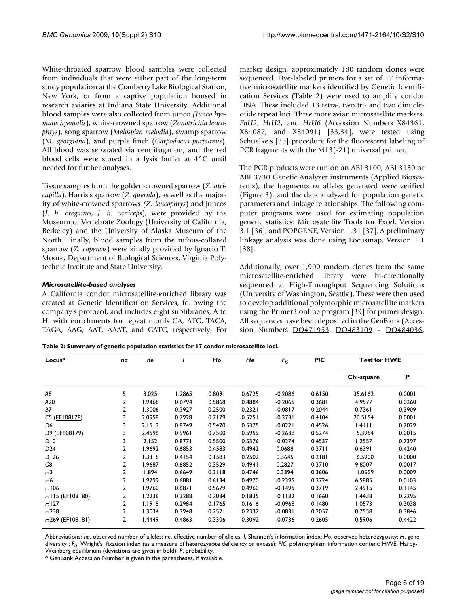White-throated sparrow blood samples were collected from individuals that were either part of the long-term study population at the Cranberry Lake Biological Station, New York, or from a captive population housed in research aviaries at Indiana State University. Additional blood samples were also collected from junco *(Junco hyemalis hyemalis*), white-crowned sparrow (*Zonotrichia leucophrys*), song sparrow (*Melospiza melodia*), swamp sparrow (*M. georgiana*), and purple finch (*Carpodacus purpureus*). All blood was separated via centrifugation, and the red blood cells were stored in a lysis buffer at 4°C until needed for further analyses.

Tissue samples from the golden-crowned sparrow (*Z. atricapilla*), Harris's sparrow (*Z. querula*), as well as the majority of white-crowned sparrows *(Z. leucophrys*) and juncos (*J. h. oreganus*, *J. h. caniceps*), were provided by the Museum of Vertebrate Zoology (University of California, Berkeley) and the University of Alaska Museum of the North. Finally, blood samples from the rufous-collared sparrow (*Z. capensis*) were kindly provided by Ignacio T. Moore, Department of Biological Sciences, Virginia Polytechnic Institute and State University.

#### *Microsatellite-based analyses*

A California condor microsatellite-enriched library was created at Genetic Identification Services, following the company's protocol, and includes eight sublibraries, A to H, with enrichments for repeat motifs CA, ATG, TACA, TAGA, AAG, AAT, AAAT, and CATC, respectively. For marker design, approximately 180 random clones were sequenced. Dye-labeled primers for a set of 17 informative microsatellite markers identified by Genetic Identification Services (Table 2) were used to amplify condor DNA. These included 13 tetra-, two tri- and two dinucleotide repeat loci. Three more avian microsatellite markers, *FhU2*, *HrU2*, and *HrU6* (Accession Numbers [X84361,](http://www.ncbi.nih.gov/entrez/query.fcgi?db=Nucleotide&cmd=search&term=X84361) [X84087](http://www.ncbi.nih.gov/entrez/query.fcgi?db=Nucleotide&cmd=search&term=X84087), and [X84091](http://www.ncbi.nih.gov/entrez/query.fcgi?db=Nucleotide&cmd=search&term=X84091)) [33,34], were tested using Schuelke's [35] procedure for the fluorescent labeling of PCR fragments with the M13(-21) universal primer.

The PCR products were run on an ABI 3100, ABI 3130 or ABI 3730 Genetic Analyzer instruments (Applied Biosystems), the fragments or alleles generated were verified (Figure 3), and the data analyzed for population genetic parameters and linkage relationships. The following computer programs were used for estimating population genetic statistics: Microsatellite Tools for Excel, Version 3.1 [36], and POPGENE, Version 1.31 [37]. A preliminary linkage analysis was done using Locusmap, Version 1.1 [38].

Additionally, over 1,900 random clones from the same microsatellite-enriched library were bi-directionally sequenced at High-Throughput Sequencing Solutions (University of Washington, Seattle). These were then used to develop additional polymorphic microsatellite markers using the Primer3 online program [39] for primer design. All sequences have been deposited in the GenBank (Accession Numbers [DQ471953,](http://www.ncbi.nih.gov/entrez/query.fcgi?db=Nucleotide&cmd=search&term=DQ471953) [DQ483109](http://www.ncbi.nih.gov/entrez/query.fcgi?db=Nucleotide&cmd=search&term=DQ483109) – [DQ484036,](http://www.ncbi.nih.gov/entrez/query.fcgi?db=Nucleotide&cmd=search&term=DQ484036)

**Table 2: Summary of genetic population statistics for 17 condor microsatellite loci.**

| Locus*            | na             | ne     |        | Ho     | He     | $F_{IS}$  | <b>PIC</b> | <b>Test for HWE</b> |        |
|-------------------|----------------|--------|--------|--------|--------|-----------|------------|---------------------|--------|
|                   |                |        |        |        |        |           |            | Chi-square          | P      |
| A8                | 5              | 3.025  | 1.2865 | 0.8091 | 0.6725 | $-0.2086$ | 0.6150     | 35.6162             | 0.0001 |
| A20               | 2              | 1.9468 | 0.6794 | 0.5868 | 0.4884 | $-0.2065$ | 0.3681     | 4.9577              | 0.0260 |
| <b>B7</b>         | 2              | 1.3006 | 0.3927 | 0.2500 | 0.2321 | $-0.0817$ | 0.2044     | 0.7361              | 0.3909 |
| C5 (EF108178)     | 3              | 2.0958 | 0.7928 | 0.7179 | 0.5251 | $-0.3731$ | 0.4104     | 20.5154             | 0.0001 |
| D6                | 3              | 2.1513 | 0.8749 | 0.5470 | 0.5375 | $-0.0221$ | 0.4526     | $1.4$               | 0.7029 |
| D9 (EF108179)     | 3              | 2.4596 | 0.9961 | 0.7500 | 0.5959 | $-0.2638$ | 0.5274     | 15.3954             | 0.0015 |
| D10               | 3              | 2.152  | 0.8771 | 0.5500 | 0.5376 | $-0.0274$ | 0.4537     | 1.2557              | 0.7397 |
| D <sub>24</sub>   | 2              | 1.9692 | 0.6853 | 0.4583 | 0.4942 | 0.0688    | 0.3711     | 0.6391              | 0.4240 |
| D126              | $\overline{2}$ | 1.3318 | 0.4154 | 0.1583 | 0.2502 | 0.3645    | 0.2181     | 16.5900             | 0.0000 |
| G8                | $\overline{2}$ | 1.9687 | 0.6852 | 0.3529 | 0.4941 | 0.2827    | 0.3710     | 9.8007              | 0.0017 |
| H3                | 2              | 1.894  | 0.6649 | 0.3118 | 0.4746 | 0.3394    | 0.3606     | 11.0699             | 0.0009 |
| H6                | $\overline{2}$ | 1.9799 | 0.6881 | 0.6134 | 0.4970 | $-0.2395$ | 0.3724     | 6.5885              | 0.0103 |
| H106              | $\overline{2}$ | 1.9760 | 0.6871 | 0.5679 | 0.4960 | $-0.1495$ | 0.3719     | 2.4915              | 0.1145 |
| H115 (EF108180)   | 2              | 1.2236 | 0.3288 | 0.2034 | 0.1835 | $-0.1132$ | 0.1660     | 1.4438              | 0.2295 |
| H127              | 2              | 1.1918 | 0.2984 | 0.1765 | 0.1616 | $-0.0968$ | 0.1480     | 1.0573              | 0.3038 |
| H <sub>2</sub> 38 | $\overline{2}$ | 1.3034 | 0.3948 | 0.2521 | 0.2337 | $-0.0831$ | 0.2057     | 0.7558              | 0.3846 |
| H269 (EF108181)   | 2              | 1.4449 | 0.4863 | 0.3306 | 0.3092 | $-0.0736$ | 0.2605     | 0.5906              | 0.4422 |

Abbreviations: *na*, observed number of alleles; *ne*, effective number of alleles; *I*, Shannon's information index; *Ho*, observed heterozygosity; *H*, gene diversity ;  $F_{I_S}$ , Wright's fixation index (as a measure of heterozygote deficiency or excess); *PIC*, polymorphism information content; HWE, Hardy-Weinberg equilibrium (deviations are given in bold); *P*, probability.

 $*$  GenBank Accession Number is given in the parentheses, if available.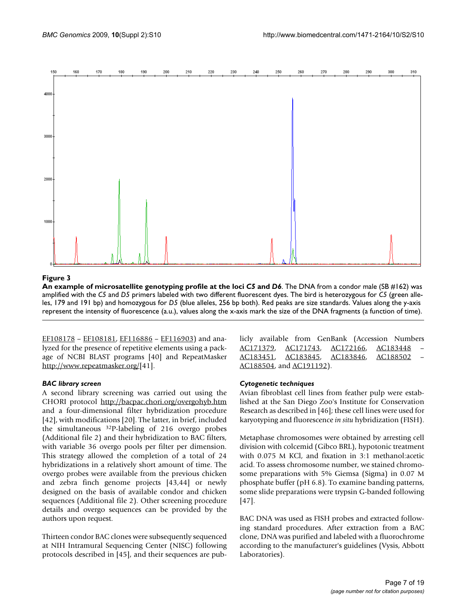

#### **Figure 3**

**An example of microsatellite genotyping profile at the loci** *C5* **and** *D6***. The DNA from a condor male (SB #162) was** amplified with the *C5* and *D5* primers labeled with two different fluorescent dyes. The bird is heterozygous for *C5* (green alleles, 179 and 191 bp) and homozygous for *D5* (blue alleles, 256 bp both). Red peaks are size standards. Values along the y-axis represent the intensity of fluorescence (a.u.), values along the x-axis mark the size of the DNA fragments (a function of time).

[EF108178](http://www.ncbi.nih.gov/entrez/query.fcgi?db=Nucleotide&cmd=search&term=EF108178) – [EF108181](http://www.ncbi.nih.gov/entrez/query.fcgi?db=Nucleotide&cmd=search&term=EF108181), [EF116886](http://www.ncbi.nih.gov/entrez/query.fcgi?db=Nucleotide&cmd=search&term=EF116886) – [EF116903\)](http://www.ncbi.nih.gov/entrez/query.fcgi?db=Nucleotide&cmd=search&term=EF116903) and analyzed for the presence of repetitive elements using a package of NCBI BLAST programs [40] and RepeatMasker <http://www.repeatmasker.org/>[41].

#### *BAC library screen*

A second library screening was carried out using the CHORI protocol <http://bacpac.chori.org/overgohyb.htm> and a four-dimensional filter hybridization procedure [42], with modifications [20]. The latter, in brief, included the simultaneous <sup>32</sup>P-labeling of 216 overgo probes (Additional file 2) and their hybridization to BAC filters, with variable 36 overgo pools per filter per dimension. This strategy allowed the completion of a total of 24 hybridizations in a relatively short amount of time. The overgo probes were available from the previous chicken and zebra finch genome projects [43,44] or newly designed on the basis of available condor and chicken sequences (Additional file 2). Other screening procedure details and overgo sequences can be provided by the authors upon request.

Thirteen condor BAC clones were subsequently sequenced at NIH Intramural Sequencing Center (NISC) following protocols described in [45], and their sequences are publicly available from GenBank (Accession Numbers [AC171379](http://www.ncbi.nih.gov/entrez/query.fcgi?db=Nucleotide&cmd=search&term=AC171379), [AC171743,](http://www.ncbi.nih.gov/entrez/query.fcgi?db=Nucleotide&cmd=search&term=AC171743) [AC172166](http://www.ncbi.nih.gov/entrez/query.fcgi?db=Nucleotide&cmd=search&term=AC172166), [AC183448](http://www.ncbi.nih.gov/entrez/query.fcgi?db=Nucleotide&cmd=search&term=AC183448) – [AC183451](http://www.ncbi.nih.gov/entrez/query.fcgi?db=Nucleotide&cmd=search&term=AC183451), [AC183845,](http://www.ncbi.nih.gov/entrez/query.fcgi?db=Nucleotide&cmd=search&term=AC183845) [AC183846](http://www.ncbi.nih.gov/entrez/query.fcgi?db=Nucleotide&cmd=search&term=AC183846), [AC188502](http://www.ncbi.nih.gov/entrez/query.fcgi?db=Nucleotide&cmd=search&term=AC188502) – [AC188504](http://www.ncbi.nih.gov/entrez/query.fcgi?db=Nucleotide&cmd=search&term=AC188504), and [AC191192](http://www.ncbi.nih.gov/entrez/query.fcgi?db=Nucleotide&cmd=search&term=AC191192)).

#### *Cytogenetic techniques*

Avian fibroblast cell lines from feather pulp were established at the San Diego Zoo's Institute for Conservation Research as described in [46]; these cell lines were used for karyotyping and fluorescence *in situ* hybridization (FISH).

Metaphase chromosomes were obtained by arresting cell division with colcemid (Gibco BRL), hypotonic treatment with 0.075 M KCl, and fixation in 3:1 methanol:acetic acid. To assess chromosome number, we stained chromosome preparations with 5% Giemsa (Sigma) in 0.07 M phosphate buffer (pH 6.8). To examine banding patterns, some slide preparations were trypsin G-banded following [47].

BAC DNA was used as FISH probes and extracted following standard procedures. After extraction from a BAC clone, DNA was purified and labeled with a fluorochrome according to the manufacturer's guidelines (Vysis, Abbott Laboratories).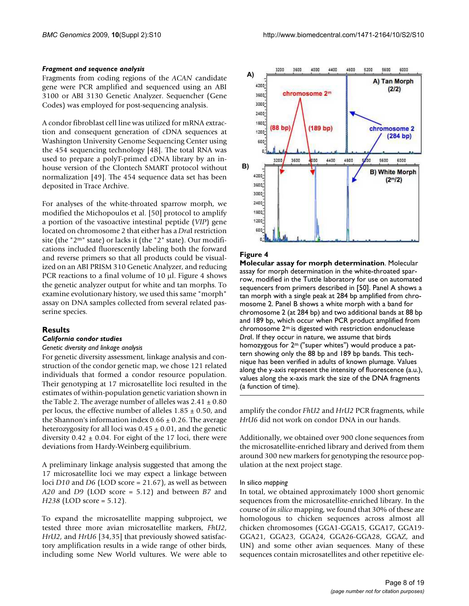#### *Fragment and sequence analysis*

Fragments from coding regions of the *ACAN* candidate gene were PCR amplified and sequenced using an ABI 3100 or ABI 3130 Genetic Analyzer. Sequencher (Gene Codes) was employed for post-sequencing analysis.

A condor fibroblast cell line was utilized for mRNA extraction and consequent generation of cDNA sequences at Washington University Genome Sequencing Center using the 454 sequencing technology [48]. The total RNA was used to prepare a polyT-primed cDNA library by an inhouse version of the Clontech SMART protocol without normalization [49]. The 454 sequence data set has been deposited in Trace Archive.

For analyses of the white-throated sparrow morph, we modified the Michopoulos et al. [50] protocol to amplify a portion of the vasoactive intestinal peptide (*VIP*) gene located on chromosome 2 that either has a *Dra*I restriction site (the "2m" state) or lacks it (the "2" state). Our modifications included fluorescently labeling both the forward and reverse primers so that all products could be visualized on an ABI PRISM 310 Genetic Analyzer, and reducing PCR reactions to a final volume of 10 μl. Figure 4 shows the genetic analyzer output for white and tan morphs. To examine evolutionary history, we used this same "morph" assay on DNA samples collected from several related passerine species.

#### **Results**

#### *California condor studies*

#### *Genetic diversity and linkage analysis*

For genetic diversity assessment, linkage analysis and construction of the condor genetic map, we chose 121 related individuals that formed a condor resource population. Their genotyping at 17 microsatellite loci resulted in the estimates of within-population genetic variation shown in the Table 2. The average number of alleles was  $2.41 \pm 0.80$ per locus, the effective number of alleles  $1.85 \pm 0.50$ , and the Shannon's information index  $0.66 \pm 0.26$ . The average heterozygosity for all loci was  $0.45 \pm 0.01$ , and the genetic diversity  $0.42 \pm 0.04$ . For eight of the 17 loci, there were deviations from Hardy-Weinberg equilibrium.

A preliminary linkage analysis suggested that among the 17 microsatellite loci we may expect a linkage between loci *D10* and *D6* (LOD score = 21.67), as well as between *A20* and *D9* (LOD score = 5.12) and between *B7* and *H238* (LOD score = 5.12).

To expand the microsatellite mapping subproject, we tested three more avian microsatellite markers, *FhU2*, *HrU2*, and *HrU6* [34,35] that previously showed satisfactory amplification results in a wide range of other birds, including some New World vultures. We were able to



#### **Figure 4**

**Molecular assay for morph determination**. Molecular assay for morph determination in the white-throated sparrow, modified in the Tuttle laboratory for use on automated sequencers from primers described in [50]. Panel A shows a tan morph with a single peak at 284 bp amplified from chromosome 2. Panel B shows a white morph with a band for chromosome 2 (at 284 bp) and two additional bands at 88 bp and 189 bp, which occur when PCR product amplified from chromosome  $2<sup>m</sup>$  is digested with restriction endonuclease *Dra*I. If they occur in nature, we assume that birds homozygous for 2m ("super whites") would produce a pattern showing only the 88 bp and 189 bp bands. This technique has been verified in adults of known plumage. Values along the y-axis represent the intensity of fluorescence (a.u.), values along the x-axis mark the size of the DNA fragments (a function of time).

amplify the condor *FhU2* and *HrU2* PCR fragments, while *HrU6* did not work on condor DNA in our hands.

Additionally, we obtained over 900 clone sequences from the microsatellite-enriched library and derived from them around 300 new markers for genotyping the resource population at the next project stage.

#### In silico *mapping*

In total, we obtained approximately 1000 short genomic sequences from the microsatellite-enriched library. In the course of *in silico* mapping, we found that 30% of these are homologous to chicken sequences across almost all chicken chromosomes (GGA1-GGA15, GGA17, GGA19- GGA21, GGA23, GGA24, GGA26-GGA28, GGAZ, and UN) and some other avian sequences. Many of these sequences contain microsatellites and other repetitive ele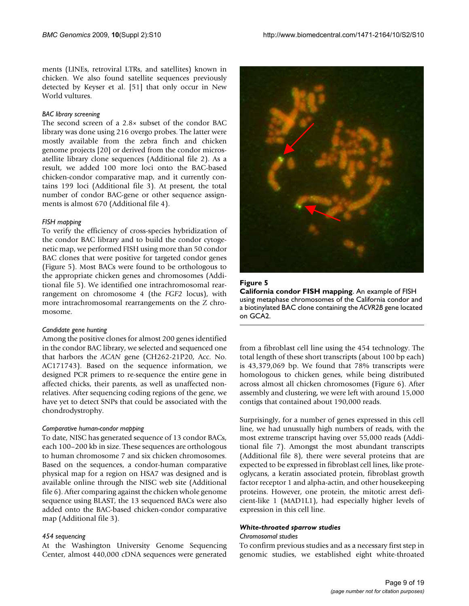ments (LINEs, retroviral LTRs, and satellites) known in chicken. We also found satellite sequences previously detected by Keyser et al. [51] that only occur in New World vultures.

#### *BAC library screening*

The second screen of a 2.8× subset of the condor BAC library was done using 216 overgo probes. The latter were mostly available from the zebra finch and chicken genome projects [20] or derived from the condor microsatellite library clone sequences (Additional file 2). As a result, we added 100 more loci onto the BAC-based chicken-condor comparative map, and it currently contains 199 loci (Additional file 3). At present, the total number of condor BAC-gene or other sequence assignments is almost 670 (Additional file 4).

#### *FISH mapping*

To verify the efficiency of cross-species hybridization of the condor BAC library and to build the condor cytogenetic map, we performed FISH using more than 50 condor BAC clones that were positive for targeted condor genes (Figure 5). Most BACs were found to be orthologous to the appropriate chicken genes and chromosomes (Additional file 5). We identified one intrachromosomal rearrangement on chromosome 4 (the *FGF2* locus), with more intrachromosomal rearrangements on the Z chromosome.

#### *Candidate gene hunting*

Among the positive clones for almost 200 genes identified in the condor BAC library, we selected and sequenced one that harbors the *ACAN* gene (CH262-21P20, Acc. No. AC171743). Based on the sequence information, we designed PCR primers to re-sequence the entire gene in affected chicks, their parents, as well as unaffected nonrelatives. After sequencing coding regions of the gene, we have yet to detect SNPs that could be associated with the chondrodystrophy.

#### *Comparative human-condor mapping*

To date, NISC has generated sequence of 13 condor BACs, each 100–200 kb in size. These sequences are orthologous to human chromosome 7 and six chicken chromosomes. Based on the sequences, a condor-human comparative physical map for a region on HSA7 was designed and is available online through the NISC web site (Additional file 6). After comparing against the chicken whole genome sequence using BLAST, the 13 sequenced BACs were also added onto the BAC-based chicken-condor comparative map (Additional file 3).

#### *454 sequencing*

At the Washington University Genome Sequencing Center, almost 440,000 cDNA sequences were generated



#### **Figure 5**

**California condor FISH mapping**. An example of FISH using metaphase chromosomes of the California condor and a biotinylated BAC clone containing the *ACVR2B* gene located on GCA2.

from a fibroblast cell line using the 454 technology. The total length of these short transcripts (about 100 bp each) is 43,379,069 bp. We found that 78% transcripts were homologous to chicken genes, while being distributed across almost all chicken chromosomes (Figure 6). After assembly and clustering, we were left with around 15,000 contigs that contained about 190,000 reads.

Surprisingly, for a number of genes expressed in this cell line, we had unusually high numbers of reads, with the most extreme transcript having over 55,000 reads (Additional file 7). Amongst the most abundant transcripts (Additional file 8), there were several proteins that are expected to be expressed in fibroblast cell lines, like proteoglycans, a keratin associated protein, fibroblast growth factor receptor 1 and alpha-actin, and other housekeeping proteins. However, one protein, the mitotic arrest deficient-like 1 (MAD1L1), had especially higher levels of expression in this cell line.

#### *White-throated sparrow studies*

#### *Chromosomal studies*

To confirm previous studies and as a necessary first step in genomic studies, we established eight white-throated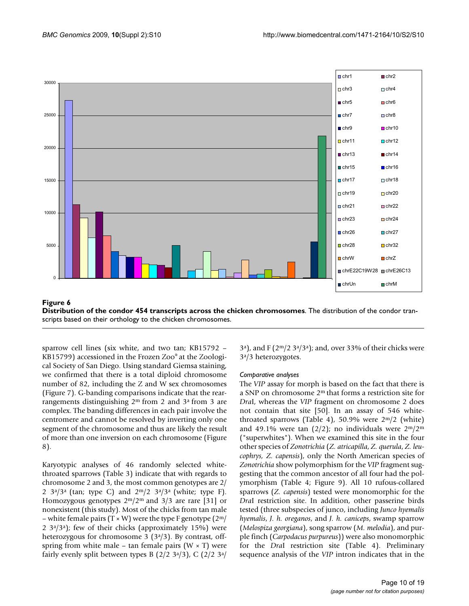

**Distribution of the condor 454 transcripts across the chicken chromosomes**. The distribution of the condor transcripts based on their orthology to the chicken chromosomes.

sparrow cell lines (six white, and two tan; KB15792 – KB15799) accessioned in the Frozen Zoo® at the Zoological Society of San Diego. Using standard Giemsa staining, we confirmed that there is a total diploid chromosome number of 82, including the Z and W sex chromosomes (Figure 7). G-banding comparisons indicate that the rearrangements distinguishing  $2<sup>m</sup>$  from 2 and  $3<sup>a</sup>$  from 3 are complex. The banding differences in each pair involve the centromere and cannot be resolved by inverting only one segment of the chromosome and thus are likely the result of more than one inversion on each chromosome (Figure 8).

Karyotypic analyses of 46 randomly selected whitethroated sparrows (Table 3) indicate that with regards to chromosome 2 and 3, the most common genotypes are 2/ 2  $3^{a}/3^{a}$  (tan; type C) and  $2^{m}/2$   $3^{a}/3^{a}$  (white; type F). Homozygous genotypes  $2^m/2^m$  and  $3/3$  are rare [31] or nonexistent (this study). Most of the chicks from tan male – white female pairs (T  $\times$  W) were the type F genotype (2<sup>m</sup>/ 2  $3a/3a$ ; few of their chicks (approximately 15%) were heterozygous for chromosome 3  $(3<sup>a</sup>/3)$ . By contrast, offspring from white male – tan female pairs ( $W \times T$ ) were fairly evenly split between types B  $(2/2 \frac{3a}{3})$ , C  $(2/2 \frac{3a}{3})$ 

 $3<sup>a</sup>$ ), and F ( $2<sup>m</sup>/2$   $3<sup>a</sup>/3<sup>a</sup>$ ); and, over 33% of their chicks were 3<sup>a</sup>/3 heterozygotes.

#### *Comparative analyses*

The *VIP* assay for morph is based on the fact that there is a SNP on chromosome 2<sup>m</sup> that forms a restriction site for *Dra*I, whereas the *VIP* fragment on chromosome 2 does not contain that site [50]. In an assay of 546 whitethroated sparrows (Table 4), 50.9% were  $2<sup>m</sup>/2$  (white) and 49.1% were tan  $(2/2)$ ; no individuals were  $2^m/2^m$ ("superwhites"). When we examined this site in the four other species of *Zonotrichia* (*Z. atricapilla*, *Z. querula*, *Z. leucophrys, Z. capensis*), only the North American species of *Zonotrichia* show polymorphism for the *VIP* fragment suggesting that the common ancestor of all four had the polymorphism (Table 4; Figure 9). All 10 rufous-collared sparrows (*Z. capensis*) tested were monomorphic for the *Dra*I restriction site. In addition, other passerine birds tested (three subspecies of junco, including *Junco hyemalis hyemalis*, *J. h. oreganos*, and *J. h. caniceps*, swamp sparrow (*Melospiza georgiana*), song sparrow (*M. melodia*), and purple finch (*Carpodacus purpureus*)) were also monomorphic for the *Dra*I restriction site (Table 4). Preliminary sequence analysis of the *VIP* intron indicates that in the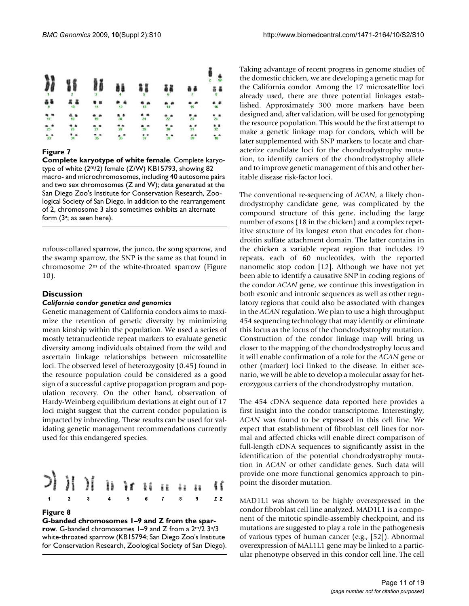|                                    | 86                                                                                                                                                                                                                                                                                                                                                                          |                   |                          |                               |                |                 | $\frac{\Delta}{\mathbf{w}}$       |
|------------------------------------|-----------------------------------------------------------------------------------------------------------------------------------------------------------------------------------------------------------------------------------------------------------------------------------------------------------------------------------------------------------------------------|-------------------|--------------------------|-------------------------------|----------------|-----------------|-----------------------------------|
|                                    |                                                                                                                                                                                                                                                                                                                                                                             | ļi                | Ą                        | និន្ធី                        | ăä             | $\frac{a}{7}$   | $\frac{2}{9}$ .                   |
| 罪                                  | $\begin{picture}(20,20) \put(0,0){\vector(0,1){30}} \put(15,0){\vector(0,1){30}} \put(15,0){\vector(0,1){30}} \put(15,0){\vector(0,1){30}} \put(15,0){\vector(0,1){30}} \put(15,0){\vector(0,1){30}} \put(15,0){\vector(0,1){30}} \put(15,0){\vector(0,1){30}} \put(15,0){\vector(0,1){30}} \put(15,0){\vector(0,1){30}} \put(15,0){\vector(0,1){30}} \put(15,0){\vector(0$ | $\frac{1}{11}$ is | $^{4}$ $^{4}$            | $\frac{6}{13}$ $\frac{8}{13}$ | A              | $\frac{1}{15}$  | $^{*}$ .6                         |
| $\frac{17}{17}$<br>$\frac{25}{33}$ | $\frac{a}{18}$ .                                                                                                                                                                                                                                                                                                                                                            | $\frac{1}{19}$    | $\frac{1}{20}$ $\bullet$ | $\frac{4}{21}$                | 22<br>30<br>38 | $\frac{1}{23}$  | $\frac{24}{32}$<br>$\frac{1}{40}$ |
|                                    | $\frac{26}{34}$                                                                                                                                                                                                                                                                                                                                                             | $\frac{27}{35}$   | 28<br>36                 | $\frac{1}{37}$                |                | $\frac{31}{39}$ |                                   |
|                                    |                                                                                                                                                                                                                                                                                                                                                                             |                   |                          |                               |                |                 |                                   |

#### **Figure 7**

**Complete karyotype of white female**. Complete karyotype of white (2<sup>m</sup>/2) female (Z/W) KB15793, showing 82 macro- and microchromosomes, including 40 autosome pairs and two sex chromosomes (Z and W); data generated at the San Diego Zoo's Institute for Conservation Research, Zoological Society of San Diego. In addition to the rearrangement of 2, chromosome 3 also sometimes exhibits an alternate form (3<sup>a</sup>; as seen here).

rufous-collared sparrow, the junco, the song sparrow, and the swamp sparrow, the SNP is the same as that found in chromosome  $2<sup>m</sup>$  of the white-throated sparrow (Figure 10).

#### **Discussion**

#### *California condor genetics and genomics*

Genetic management of California condors aims to maximize the retention of genetic diversity by minimizing mean kinship within the population. We used a series of mostly tetranucleotide repeat markers to evaluate genetic diversity among individuals obtained from the wild and ascertain linkage relationships between microsatellite loci. The observed level of heterozygosity (0.45) found in the resource population could be considered as a good sign of a successful captive propagation program and population recovery. On the other hand, observation of Hardy-Weinberg equilibrium deviations at eight out of 17 loci might suggest that the current condor population is impacted by inbreeding. These results can be used for validating genetic management recommendations currently used for this endangered species.



#### Figure 8

**G-banded chromosomes 1–9 and Z from the sparrow**. G-banded chromosomes 1–9 and Z from a 2<sup>m</sup>/2 3<sup>a</sup> /3 white-throated sparrow (KB15794; San Diego Zoo's Institute for Conservation Research, Zoological Society of San Diego). Taking advantage of recent progress in genome studies of the domestic chicken, we are developing a genetic map for the California condor. Among the 17 microsatellite loci already used, there are three potential linkages established. Approximately 300 more markers have been designed and, after validation, will be used for genotyping the resource population. This would be the first attempt to make a genetic linkage map for condors, which will be later supplemented with SNP markers to locate and characterize candidate loci for the chondrodystrophy mutation, to identify carriers of the chondrodystrophy allele and to improve genetic management of this and other heritable disease risk-factor loci.

The conventional re-sequencing of *ACAN*, a likely chondrodystrophy candidate gene, was complicated by the compound structure of this gene, including the large number of exons (18 in the chicken) and a complex repetitive structure of its longest exon that encodes for chondroitin sulfate attachment domain. The latter contains in the chicken a variable repeat region that includes 19 repeats, each of 60 nucleotides, with the reported nanomelic stop codon [12]. Although we have not yet been able to identify a causative SNP in coding regions of the condor *ACAN* gene, we continue this investigation in both exonic and intronic sequences as well as other regulatory regions that could also be associated with changes in the *ACAN* regulation. We plan to use a high throughput 454 sequencing technology that may identify or eliminate this locus as the locus of the chondrodystrophy mutation. Construction of the condor linkage map will bring us closer to the mapping of the chondrodystrophy locus and it will enable confirmation of a role for the *ACAN* gene or other (marker) loci linked to the disease. In either scenario, we will be able to develop a molecular assay for heterozygous carriers of the chondrodystrophy mutation.

The 454 cDNA sequence data reported here provides a first insight into the condor transcriptome. Interestingly, *ACAN* was found to be expressed in this cell line. We expect that establishment of fibroblast cell lines for normal and affected chicks will enable direct comparison of full-length cDNA sequences to significantly assist in the identification of the potential chondrodystrophy mutation in *ACAN* or other candidate genes. Such data will provide one more functional genomics approach to pinpoint the disorder mutation.

MAD1L1 was shown to be highly overexpressed in the condor fibroblast cell line analyzed. MAD1L1 is a component of the mitotic spindle-assembly checkpoint, and its mutations are suggested to play a role in the pathogenesis of various types of human cancer (e.g., [52]). Abnormal overexpression of MAL1L1 gene may be linked to a particular phenotype observed in this condor cell line. The cell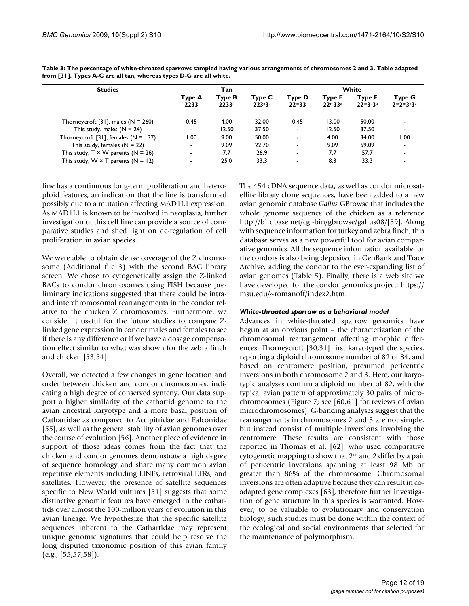| <b>Studies</b>                            | Tan                          |                 |                      | White                        |                                           |                     |                          |
|-------------------------------------------|------------------------------|-----------------|----------------------|------------------------------|-------------------------------------------|---------------------|--------------------------|
|                                           | Type A<br>2233               | Type B<br>2233a | Type C<br>$223^a3^a$ | Type D<br>22 <sup>m</sup> 33 | Type E<br>22 <sup>m</sup> 33 <sup>a</sup> | Type F<br>$22m3a3a$ | Type G<br>$2m2m3a3a$     |
| Thorneycroft [31], males $(N = 260)$      | 0.45                         | 4.00            | 32.00                | 0.45                         | 13.00                                     | 50.00               |                          |
| This study, males $(N = 24)$              | $\overline{\phantom{a}}$     | 12.50           | 37.50                |                              | 12.50                                     | 37.50               | $\overline{\phantom{a}}$ |
| Thorneycroft [31], females $(N = 137)$    | 1.00                         | 9.00            | 50.00                |                              | 4.00                                      | 34.00               | 00. ا                    |
| This study, females $(N = 22)$            | $\qquad \qquad \blacksquare$ | 9.09            | 22.70                |                              | 9.09                                      | 59.09               | $\overline{\phantom{a}}$ |
| This study, $T \times W$ parents (N = 26) | $\overline{\phantom{0}}$     | 7.7             | 26.9                 |                              | 7.7                                       | 57.7                |                          |
| This study, $W \times T$ parents (N = 12) |                              | 25.0            | 33.3                 |                              | 8.3                                       | 33.3                |                          |

**Table 3: The percentage of white-throated sparrows sampled having various arrangements of chromosomes 2 and 3. Table adapted from [31]. Types A-C are all tan, whereas types D-G are all white.**

line has a continuous long-term proliferation and heteroploid features, an indication that the line is transformed possibly due to a mutation affecting MAD1L1 expression. As MAD1L1 is known to be involved in neoplasia, further investigation of this cell line can provide a source of comparative studies and shed light on de-regulation of cell proliferation in avian species.

We were able to obtain dense coverage of the Z chromosome (Additional file 3) with the second BAC library screen. We chose to cytogenetically assign the Z-linked BACs to condor chromosomes using FISH because preliminary indications suggested that there could be intraand interchromosomal rearrangements in the condor relative to the chicken Z chromosomes. Furthermore, we consider it useful for the future studies to compare Zlinked gene expression in condor males and females to see if there is any difference or if we have a dosage compensation effect similar to what was shown for the zebra finch and chicken [53,54].

Overall, we detected a few changes in gene location and order between chicken and condor chromosomes, indicating a high degree of conserved synteny. Our data support a higher similarity of the cathartid genome to the avian ancestral karyotype and a more basal position of Cathartidae as compared to Accipitridae and Falconidae [55], as well as the general stability of avian genomes over the course of evolution [56]. Another piece of evidence in support of those ideas comes from the fact that the chicken and condor genomes demonstrate a high degree of sequence homology and share many common avian repetitive elements including LINEs, retroviral LTRs, and satellites. However, the presence of satellite sequences specific to New World vultures [51] suggests that some distinctive genomic features have emerged in the cathartids over almost the 100-million years of evolution in this avian lineage. We hypothesize that the specific satellite sequences inherent to the Cathartidae may represent unique genomic signatures that could help resolve the long disputed taxonomic position of this avian family  $(e.g., [55,57,58]).$ 

The 454 cDNA sequence data, as well as condor microsatellite library clone sequences, have been added to a new avian genomic database *Gallus* GBrowse that includes the whole genome sequence of the chicken as a reference [http://birdbase.net/cgi-bin/gbrowse/gallus08/\[](http://birdbase.net/cgi-bin/gbrowse/gallus08/)59]. Along with sequence information for turkey and zebra finch, this database serves as a new powerful tool for avian comparative genomics. All the sequence information available for the condors is also being deposited in GenBank and Trace Archive, adding the condor to the ever-expanding list of avian genomes (Table 5). Finally, there is a web site we have developed for the condor genomics project: [https://](https://msu.edu/~romanoff/index2.htm) [msu.edu/~romanoff/index2.htm](https://msu.edu/~romanoff/index2.htm).

#### *White-throated sparrow as a behavioral model*

Advances in white-throated sparrow genomics have begun at an obvious point – the characterization of the chromosomal rearrangement affecting morphic differences. Thorneycroft [30,31] first karyotyped the species, reporting a diploid chromosome number of 82 or 84, and based on centromere position, presumed pericentric inversions in both chromosome 2 and 3. Here, our karyotypic analyses confirm a diploid number of 82, with the typical avian pattern of approximately 30 pairs of microchromosomes (Figure 7; see [60,61] for reviews of avian microchromosomes). G-banding analyses suggest that the rearrangements in chromosomes 2 and 3 are not simple, but instead consist of multiple inversions involving the centromere. These results are consistent with those reported in Thomas et al. [62], who used comparative cytogenetic mapping to show that  $2<sup>m</sup>$  and 2 differ by a pair of pericentric inversions spanning at least 98 Mb or greater than 86% of the chromosome. Chromosomal inversions are often adaptive because they can result in coadapted gene complexes [63], therefore further investigation of gene structure in this species is warranted. However, to be valuable to evolutionary and conservation biology, such studies must be done within the context of the ecological and social environments that selected for the maintenance of polymorphism.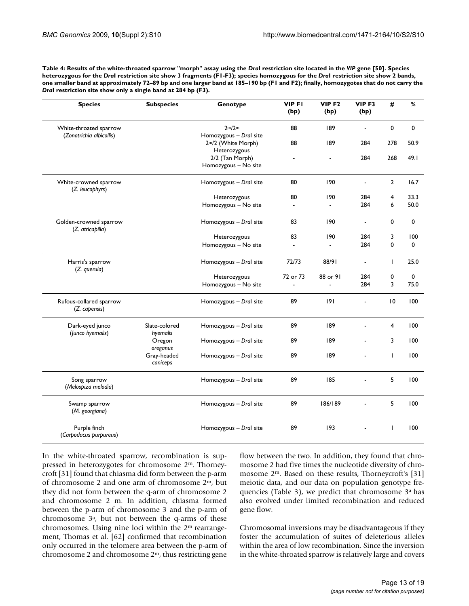**Table 4: Results of the white-throated sparrow "morph" assay using the** *Dra***I restriction site located in the** *VIP* **gene [50]. Species heterozygous for the** *Dra***I restriction site show 3 fragments (F1-F3); species homozygous for the** *Dra***I restriction site show 2 bands, one smaller band at approximately 72–89 bp and one larger band at 185–190 bp (F1 and F2); finally, homozygotes that do not carry the**  *Dra***I restriction site show only a single band at 284 bp (F3).**

| <b>Species</b>                             | <b>Subspecies</b>         | Genotype                           | <b>VIPFI</b><br>(bp) | VIP <sub>F2</sub><br>(bp) | VIP <sub>F3</sub><br>(bp) | #               | $\%$        |
|--------------------------------------------|---------------------------|------------------------------------|----------------------|---------------------------|---------------------------|-----------------|-------------|
| White-throated sparrow                     |                           | 2 <sub>m</sub> /2 <sub>m</sub>     | 88                   | 189                       | $\blacksquare$            | 0               | $\mathbf 0$ |
| (Zonotrichia albicollis)                   |                           | Homozygous - Dral site             |                      |                           |                           |                 |             |
|                                            |                           | 2m/2 (White Morph)<br>Heterozygous | 88                   | 189                       | 284                       | 278             | 50.9        |
|                                            |                           | 2/2 (Tan Morph)                    |                      |                           | 284                       | 268             | 49.1        |
|                                            |                           | Homozygous - No site               |                      |                           |                           |                 |             |
| White-crowned sparrow<br>(Z. leucophyrs)   |                           | Homozygous - Dral site             | 80                   | 190                       | $\blacksquare$            | $\overline{2}$  | 16.7        |
|                                            |                           | Heterozygous                       | 80                   | 190                       | 284                       | 4               | 33.3        |
|                                            |                           | Homozygous - No site               | $\blacksquare$       | $\blacksquare$            | 284                       | 6               | 50.0        |
| Golden-crowned sparrow<br>(Z. atricapilla) |                           | Homozygous - Dral site             | 83                   | 190                       | $\blacksquare$            | 0               | $\mathbf 0$ |
|                                            |                           | Heterozygous                       | 83                   | 190                       | 284                       | 3               | 100         |
|                                            |                           | Homozygous - No site               | $\overline{a}$       | $\overline{a}$            | 284                       | 0               | $\mathbf 0$ |
| Harris's sparrow<br>(Z. querula)           |                           | Homozygous - Dral site             | 72/73                | 88/91                     | $\blacksquare$            | T               | 25.0        |
|                                            |                           | Heterozygous                       | 72 or 73             | 88 or 91                  | 284                       | 0               | 0           |
|                                            |                           | Homozygous - No site               |                      |                           | 284                       | 3               | 75.0        |
| Rufous-collared sparrow<br>(Z. capensis)   |                           | Homozygous - Dral site             | 89                   | 9                         | $\blacksquare$            | $\overline{10}$ | 100         |
| Dark-eyed junco<br>(Junco hyemalis)        | Slate-colored<br>hyemalis | Homozygous - Dral site             | 89                   | 189                       |                           | 4               | 100         |
|                                            | Oregon<br>oreganus        | Homozygous - Dral site             | 89                   | 189                       |                           | 3               | 100         |
|                                            | Gray-headed<br>caniceps   | Homozygous - Dral site             | 89                   | 189                       |                           | T               | 100         |
| Song sparrow<br>(Melospiza melodia)        |                           | Homozygous - Dral site             | 89                   | 185                       |                           | 5               | 100         |
| Swamp sparrow<br>(M. georgiana)            |                           | Homozygous - Dral site             | 89                   | 186/189                   |                           | 5               | 100         |
| Purple finch<br>(Carpodacus purpureus)     |                           | Homozygous - Dral site             | 89                   | 193                       |                           | T               | 100         |

In the white-throated sparrow, recombination is suppressed in heterozygotes for chromosome 2m. Thorneycroft [31] found that chiasma did form between the p-arm of chromosome 2 and one arm of chromosome 2<sup>m</sup>, but they did not form between the q-arm of chromosome 2 and chromosome 2 m. In addition, chiasma formed between the p-arm of chromosome 3 and the p-arm of chromosome 3<sup>a</sup> , but not between the q-arms of these chromosomes. Using nine loci within the 2m rearrangement, Thomas et al. [62] confirmed that recombination only occurred in the telomere area between the p-arm of chromosome 2 and chromosome 2<sup>m</sup>, thus restricting gene flow between the two. In addition, they found that chromosome 2 had five times the nucleotide diversity of chromosome 2<sup>m</sup>. Based on these results, Thorneycroft's [31] meiotic data, and our data on population genotype frequencies (Table 3), we predict that chromosome  $3<sup>a</sup>$  has also evolved under limited recombination and reduced gene flow.

Chromosomal inversions may be disadvantageous if they foster the accumulation of suites of deleterious alleles within the area of low recombination. Since the inversion in the white-throated sparrow is relatively large and covers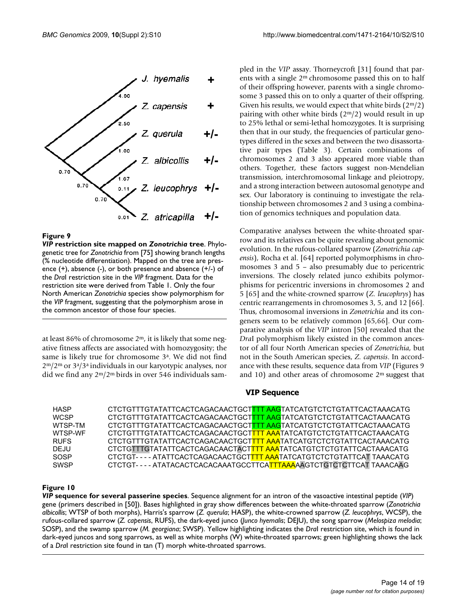

#### **Figure 9**

*VIP* **restriction site mapped on** *Zonotrichia* **tree**. Phylogenetic tree for *Zonotrichia* from [75] showing branch lengths (% nucleotide differentiation). Mapped on the tree are presence (+), absence (-), or both presence and absence (+/-) of the *Dra*I restriction site in the *VIP* fragment. Data for the restriction site were derived from Table 1. Only the four North American *Zonotrichia* species show polymorphism for the *VIP* fragment, suggesting that the polymorphism arose in the common ancestor of those four species.

at least 86% of chromosome 2m, it is likely that some negative fitness affects are associated with homozygosity; the same is likely true for chromosome 3<sup>a</sup>. We did not find  $2<sup>m</sup>/2<sup>m</sup>$  or  $3<sup>a</sup>/3<sup>a</sup>$  individuals in our karyotypic analyses, nor did we find any 2m/2m birds in over 546 individuals sampled in the *VIP* assay. Thorneycroft [31] found that parents with a single  $2<sup>m</sup>$  chromosome passed this on to half of their offspring however, parents with a single chromosome 3 passed this on to only a quarter of their offspring. Given his results, we would expect that white birds  $(2<sup>m</sup>/2)$ pairing with other white birds  $(2<sup>m</sup>/2)$  would result in up to 25% lethal or semi-lethal homozygotes. It is surprising then that in our study, the frequencies of particular genotypes differed in the sexes and between the two disassortative pair types (Table 3). Certain combinations of chromosomes 2 and 3 also appeared more viable than others. Together, these factors suggest non-Mendelian transmission, interchromosomal linkage and pleiotropy, and a strong interaction between autosomal genotype and sex. Our laboratory is continuing to investigate the relationship between chromosomes 2 and 3 using a combination of genomics techniques and population data.

Comparative analyses between the white-throated sparrow and its relatives can be quite revealing about genomic evolution. In the rufous-collared sparrow (*Zonotrichia capensis*), Rocha et al. [64] reported polymorphisms in chromosomes 3 and 5 – also presumably due to pericentric inversions. The closely related junco exhibits polymorphisms for pericentric inversions in chromosomes 2 and 5 [65] and the white-crowned sparrow (*Z. leucophrys*) has centric rearrangements in chromosomes 3, 5, and 12 [66]. Thus, chromosomal inversions in *Zonotrichia* and its congeners seem to be relatively common [65,66]. Our comparative analysis of the *VIP* intron [50] revealed that the *Dra*I polymorphism likely existed in the common ancestor of all four North American species of *Zonotrichia*, but not in the South American species, *Z. capensis*. In accordance with these results, sequence data from *VIP* (Figures 9 and 10) and other areas of chromosome  $2<sup>m</sup>$  suggest that

#### **VIP Sequence**

| <b>HASP</b> | CTCTGTTTGTATATTCACTCAGACAACTGCTTTT AAGTATCATGTCTCTGTATTCACTAAACATG   |  |
|-------------|----------------------------------------------------------------------|--|
| <b>WCSP</b> | CTCTGTTTGTATATTCACTCAGACAACTGCTTTT AAGTATCATGTCTCTGTATTCACTAAACATG   |  |
| WTSP-TM     | CTCTGTTTGTATATTCACTCAGACAACTGCTTTT AAGTATCATGTCTCTGTATTCACTAAACATG   |  |
| WTSP-WF     | CTCTGTTTGTATATTCACTCAGACAACTGCTTTT AAATATCATGTCTCTGTATTCACTAAACATG   |  |
| <b>RUFS</b> | CTCTGTTTGTATATTCACTCAGACAACTGCTTTT AAATATCATGTCTCTGTATTCACTAAACATG   |  |
| DEJU.       | CTCTGTTTGTATATTCACTCAGACAACTACTTTT AAATATCATGTCTCTGTATTCACTAAACATG   |  |
| SOSP        | CTCTGT---- ATATTCACTCAGACAACTGCTTTT AAATATCATGTCTCTGTATTCAT TAAACATG |  |
| <b>SWSP</b> |                                                                      |  |

#### **Figure 10**

*VIP* **sequence for several passerine species**. Sequence alignment for an intron of the vasoactive intestinal peptide (*VIP*) gene (primers described in [50]). Bases highlighted in gray show differences between the white-throated sparrow (*Zonotrichia albicollis*; WTSP of both morphs), Harris's sparrow (*Z. querula*; HASP), the white-crowned sparrow (*Z. leucophrys*, WCSP), the rufous-collared sparrow (*Z. capensis*, RUFS), the dark-eyed junco (*Junco hyemalis*; DEJU), the song sparrow (*Melospiza melodia*; SOSP), and the swamp sparrow (*M. georgiana*; SWSP). Yellow highlighting indicates the *Dra*I restriction site, which is found in dark-eyed juncos and song sparrows, as well as white morphs (W) white-throated sparrows; green highlighting shows the lack of a *Dra*I restriction site found in tan (T) morph white-throated sparrows.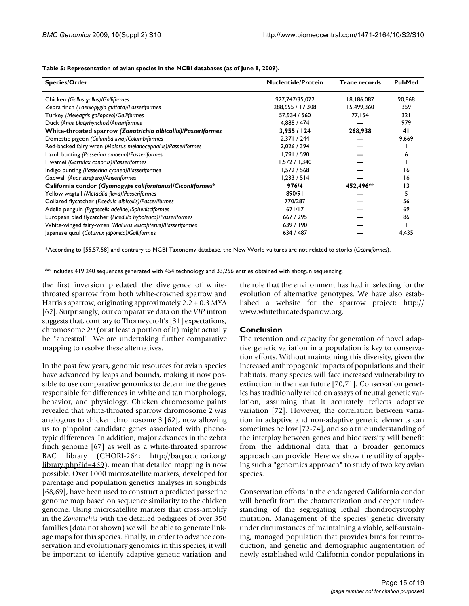**Table 5: Representation of avian species in the NCBI databases (as of June 8, 2009).**

| <b>Species/Order</b>                                          | <b>Nucleotide/Protein</b> | <b>Trace records</b> | <b>PubMed</b> |
|---------------------------------------------------------------|---------------------------|----------------------|---------------|
| Chicken (Gallus gallus)/Galliformes                           | 927,747/35,072            | 18,186,087           | 90.868        |
| Zebra finch (Taeniopygia guttata)/Passeriformes               | 288,655 / 17,308          | 15,499,360           | 359           |
| Turkey (Meleagris gallopavo)/Galliformes                      | 57.934 / 560              | 77.154               | 321           |
| Duck (Anas platyrhynchos)/Anseriformes                        | 4.888 / 474               | ---                  | 979           |
| White-throated sparrow (Zonotrichia albicollis)/Passeriformes | 3,955/124                 | 268,938              | 41            |
| Domestic pigeon (Columba livia)/Columbiformes                 | 2.371 / 244               | ---                  | 9,669         |
| Red-backed fairy wren (Malarus melanocephalus)/Passeriformes  | 2.026 / 394               |                      |               |
| Lazuli bunting (Passerina amoena)/Passeriformes               | 1.791 / 590               |                      | 6             |
| Hwamei (Garrulax canorus)/Passeriformes                       | 1,572 / 1,340             |                      |               |
| Indigo bunting (Passerina cyanea)/Passeriformes               | 1.572 / 568               |                      | 16            |
| Gadwall (Anas strepera)/Anseriformes                          | 1.233 / 514               | ---                  | 16            |
| California condor (Gymnogyps californianus)/Ciconiiformes*    | 976/4                     | 452,496**            | 13            |
| Yellow wagtail (Motacilla flava)/Passeriformes                | 890/91                    |                      | 5             |
| Collared flycatcher (Ficedula albicollis)/Passeriformes       | 770/287                   |                      | 56            |
| Adelie penguin (Pygoscelis adeliae)/Sphenisciformes           | 671/17                    | ---                  | 69            |
| European pied flycatcher (Ficedula hypoleuca)/Passeriformes   | 667 / 295                 |                      | 86            |
| White-winged fairy-wren (Malurus leucopterus)/Passeriformes   | 639 / 190                 |                      |               |
| Japanese quail (Coturnix japonica)/Galliformes                | 634 / 487                 | ---                  | 4,435         |

\*According to [55,57,58] and contrary to NCBI Taxonomy database, the New World vultures are not related to storks (*Ciconiiformes*).

\*\* Includes 419,240 sequences generated with 454 technology and 33,256 entries obtained with shotgun sequencing.

the first inversion predated the divergence of whitethroated sparrow from both white-crowned sparrow and Harris's sparrow, originating approximately  $2.2 \pm 0.3$  MYA [62]. Surprisingly, our comparative data on the *VIP* intron suggests that, contrary to Thorneycroft's [31] expectations, chromosome 2<sup>m</sup>(or at least a portion of it) might actually be "ancestral". We are undertaking further comparative mapping to resolve these alternatives.

In the past few years, genomic resources for avian species have advanced by leaps and bounds, making it now possible to use comparative genomics to determine the genes responsible for differences in white and tan morphology, behavior, and physiology. Chicken chromosome paints revealed that white-throated sparrow chromosome 2 was analogous to chicken chromosome 3 [62], now allowing us to pinpoint candidate genes associated with phenotypic differences. In addition, major advances in the zebra finch genome [67] as well as a white-throated sparrow BAC library (CHORI-264; [http://bacpac.chori.org/](http://bacpac.chori.org/library.php?id=469) [library.php?id=469](http://bacpac.chori.org/library.php?id=469)), mean that detailed mapping is now possible. Over 1000 microsatellite markers, developed for parentage and population genetics analyses in songbirds [68,69], have been used to construct a predicted passerine genome map based on sequence similarity to the chicken genome. Using microsatellite markers that cross-amplify in the *Zonotrichia* with the detailed pedigrees of over 350 families (data not shown) we will be able to generate linkage maps for this species. Finally, in order to advance conservation and evolutionary genomics in this species, it will be important to identify adaptive genetic variation and

the role that the environment has had in selecting for the evolution of alternative genotypes. We have also established a website for the sparrow project: [http://](http://www.whitethroatedsparrow.org) [www.whitethroatedsparrow.org](http://www.whitethroatedsparrow.org).

#### **Conclusion**

The retention and capacity for generation of novel adaptive genetic variation in a population is key to conservation efforts. Without maintaining this diversity, given the increased anthropogenic impacts of populations and their habitats, many species will face increased vulnerability to extinction in the near future [70,71]. Conservation genetics has traditionally relied on assays of neutral genetic variation, assuming that it accurately reflects adaptive variation [72]. However, the correlation between variation in adaptive and non-adaptive genetic elements can sometimes be low [72-74], and so a true understanding of the interplay between genes and biodiversity will benefit from the additional data that a broader genomics approach can provide. Here we show the utility of applying such a "genomics approach" to study of two key avian species.

Conservation efforts in the endangered California condor will benefit from the characterization and deeper understanding of the segregating lethal chondrodystrophy mutation. Management of the species' genetic diversity under circumstances of maintaining a viable, self-sustaining, managed population that provides birds for reintroduction, and genetic and demographic augmentation of newly established wild California condor populations in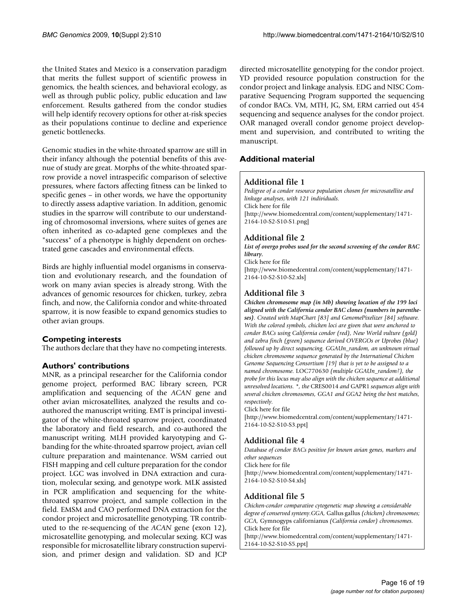the United States and Mexico is a conservation paradigm that merits the fullest support of scientific prowess in genomics, the health sciences, and behavioral ecology, as well as through public policy, public education and law enforcement. Results gathered from the condor studies will help identify recovery options for other at-risk species as their populations continue to decline and experience genetic bottlenecks.

Genomic studies in the white-throated sparrow are still in their infancy although the potential benefits of this avenue of study are great. Morphs of the white-throated sparrow provide a novel intraspecific comparison of selective pressures, where factors affecting fitness can be linked to specific genes – in other words, we have the opportunity to directly assess adaptive variation. In addition, genomic studies in the sparrow will contribute to our understanding of chromosomal inversions, where suites of genes are often inherited as co-adapted gene complexes and the "success" of a phenotype is highly dependent on orchestrated gene cascades and environmental effects.

Birds are highly influential model organisms in conservation and evolutionary research, and the foundation of work on many avian species is already strong. With the advances of genomic resources for chicken, turkey, zebra finch, and now, the California condor and white-throated sparrow, it is now feasible to expand genomics studies to other avian groups.

#### **Competing interests**

The authors declare that they have no competing interests.

#### **Authors' contributions**

MNR, as a principal researcher for the California condor genome project, performed BAC library screen, PCR amplification and sequencing of the *ACAN* gene and other avian microsatellites, analyzed the results and coauthored the manuscript writing. EMT is principal investigator of the white-throated sparrow project, coordinated the laboratory and field research, and co-authored the manuscript writing. MLH provided karyotyping and Gbanding for the white-throated sparrow project, avian cell culture preparation and maintenance. WSM carried out FISH mapping and cell culture preparation for the condor project. LGC was involved in DNA extraction and curation, molecular sexing, and genotype work. MLK assisted in PCR amplification and sequencing for the whitethroated sparrow project, and sample collection in the field. EMSM and CAO performed DNA extraction for the condor project and microsatellite genotyping. TR contributed to the re-sequencing of the *ACAN* gene (exon 12), microsatellite genotyping, and molecular sexing. KCJ was responsible for microsatellite library construction supervision, and primer design and validation. SD and JCP directed microsatellite genotyping for the condor project. YD provided resource population construction for the condor project and linkage analysis. EDG and NISC Comparative Sequencing Program supported the sequencing of condor BACs. VM, MTH, JG, SM, ERM carried out 454 sequencing and sequence analyses for the condor project. OAR managed overall condor genome project development and supervision, and contributed to writing the manuscript.

#### **Additional material**

#### **Additional file 1**

*Pedigree of a condor resource population chosen for microsatellite and linkage analyses, with 121 individuals.*  Click here for file [\[http://www.biomedcentral.com/content/supplementary/1471-](http://www.biomedcentral.com/content/supplementary/1471-2164-10-S2-S10-S1.png) 2164-10-S2-S10-S1.png]

#### **Additional file 2**

*List of overgo probes used for the second screening of the condor BAC library.* Click here for file

[\[http://www.biomedcentral.com/content/supplementary/1471-](http://www.biomedcentral.com/content/supplementary/1471-2164-10-S2-S10-S2.xls) 2164-10-S2-S10-S2.xls]

#### **Additional file 3**

*Chicken chromosome map (in Mb) showing location of the 199 loci aligned with the California condor BAC clones (numbers in parentheses). Created with MapChart [83] and GenomePixelizer [84] software. With the colored symbols, chicken loci are given that were anchored to condor BACs using California condor (red), New World vulture (gold) and zebra finch (green) sequence derived OVERGOs or Uprobes (blue) followed up by direct sequencing. GGAUn\_random, an unknown virtual chicken chromosome sequence generated by the International Chicken Genome Sequencing Consortium [19] that is yet to be assigned to a named chromosome.* LOC770630 *(multiple GGAUn\_random?), the probe for this locus may also align with the chicken sequence at additional unresolved locations. \*, the* CRES0014 *and* GAPR1 *sequences align with several chicken chromosomes, GGA1 and GGA2 being the best matches, respectively.*

#### Click here for file

[\[http://www.biomedcentral.com/content/supplementary/1471-](http://www.biomedcentral.com/content/supplementary/1471-2164-10-S2-S10-S3.ppt) 2164-10-S2-S10-S3.ppt]

#### **Additional file 4**

*Database of condor BACs positive for known avian genes, markers and other sequences* Click here for file [\[http://www.biomedcentral.com/content/supplementary/1471-](http://www.biomedcentral.com/content/supplementary/1471-2164-10-S2-S10-S4.xls) 2164-10-S2-S10-S4.xls]

#### **Additional file 5**

*Chicken-condor comparative cytogenetic map showing a considerable degree of conserved synteny.GGA,* Gallus gallus *(chicken) chromosomes; GCA,* Gymnogyps californianus *(California condor) chromosomes.* Click here for file

[\[http://www.biomedcentral.com/content/supplementary/1471-](http://www.biomedcentral.com/content/supplementary/1471-2164-10-S2-S10-S5.ppt) 2164-10-S2-S10-S5.ppt]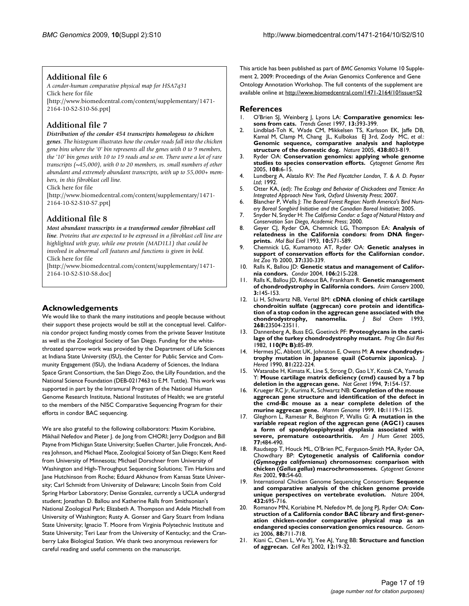#### **Additional file 6**

*A condor-human comparative physical map for HSA7q31* Click here for file [\[http://www.biomedcentral.com/content/supplementary/1471-](http://www.biomedcentral.com/content/supplementary/1471-2164-10-S2-S10-S6.ppt) 2164-10-S2-S10-S6.ppt]

#### **Additional file 7**

#### *Distribution of the condor 454 transcripts homologous to chicken*

*genes. The histogram illustrates how the condor reads fall into the chicken gene bins where the '0' bin represents all the genes with 0 to 9 members, the '10' bin genes with 10 to 19 reads and so on. There were a lot of rare transcripts (~45,000), with 0 to 20 members, vs. small numbers of other abundant and extremely abundant transcripts, with up to 55,000+ members, in this fibroblast cell line.*

Click here for file

[\[http://www.biomedcentral.com/content/supplementary/1471-](http://www.biomedcentral.com/content/supplementary/1471-2164-10-S2-S10-S7.ppt) 2164-10-S2-S10-S7.ppt]

#### **Additional file 8**

#### *Most abundant transcripts in a transformed condor fibroblast cell*

*line. Proteins that are expected to be expressed in a fibroblast cell line are highlighted with gray, while one protein (MAD1L1) that could be involved in abnormal cell features and functions is given in bold.* Click here for file

[\[http://www.biomedcentral.com/content/supplementary/1471-](http://www.biomedcentral.com/content/supplementary/1471-2164-10-S2-S10-S8.doc) 2164-10-S2-S10-S8.doc]

#### **Acknowledgements**

We would like to thank the many institutions and people because without their support these projects would be still at the conceptual level. California condor project funding mostly comes from the private Seaver Institute as well as the Zoological Society of San Diego. Funding for the whitethroated sparrow work was provided by the Department of Life Sciences at Indiana State University (ISU), the Center for Public Service and Community Engagement (ISU), the Indiana Academy of Sciences, the Indiana Space Grant Consortium, the San Diego Zoo, the Lilly Foundation, and the National Science Foundation (DEB-0217463 to E.M. Tuttle). This work was supported in part by the Intramural Program of the National Human Genome Research Institute, National Institutes of Health; we are grateful to the members of the NISC Comparative Sequencing Program for their efforts in condor BAC sequencing.

We are also grateful to the following collaborators: Maxim Koriabine, Mikhail Nefedov and Pieter J. de Jong from CHORI; Jerry Dodgson and Bill Payne from Michigan State University; Suellen Charter, Julie Fronczek, Andrea Johnson, and Michael Mace, Zoological Soicety of San Diego; Kent Reed from University of Minnesota; Michael Dorschner from University of Washington and High-Throughput Sequencing Solutions; Tim Harkins and Jane Hutchinson from Roche; Eduard Akhunov from Kansas State University; Carl Schmidt from University of Delaware; Lincoln Stein from Cold Spring Harbor Laboratory; Denise Gonzalez, currently a UCLA undergrad student; Jonathan D. Ballou and Katherine Ralls from Smithsonian's National Zoological Park; Elizabeth A. Thompson and Adele Mitchell from University of Washington; Rusty A. Gonser and Gary Stuart from Indiana State University; Ignacio T. Moore from Virginia Polytechnic Institute and State University; Teri Lear from the University of Kentucky; and the Cranberry Lake Biological Station. We thank two anonymous reviewers for careful reading and useful comments on the manuscript.

This article has been published as part of *BMC Genomics* Volume 10 Supplement 2, 2009: Proceedings of the Avian Genomics Conference and Gene Ontology Annotation Workshop. The full contents of the supplement are available online at<http://www.biomedcentral.com/1471-2164/10?issue=S2>

#### **References**

- 1. O'Brien SJ, Weinberg J, Lyons LA: **[Comparative genomics: les](http://www.ncbi.nlm.nih.gov/entrez/query.fcgi?cmd=Retrieve&db=PubMed&dopt=Abstract&list_uids=9351340)[sons from cats.](http://www.ncbi.nlm.nih.gov/entrez/query.fcgi?cmd=Retrieve&db=PubMed&dopt=Abstract&list_uids=9351340)** *Trends Genet* 1997, **13:**393-399.
- 2. Lindblad-Toh K, Wade CM, Mikkelsen TS, Karlsson EK, Jaffe DB, Kamal M, Clamp M, Chang JL, Kulbokas EJ 3rd, Zody MC, *et al.*: **[Genomic sequence, comparative analysis and haplotype](http://www.ncbi.nlm.nih.gov/entrez/query.fcgi?cmd=Retrieve&db=PubMed&dopt=Abstract&list_uids=16341006) [structure of the domestic dog.](http://www.ncbi.nlm.nih.gov/entrez/query.fcgi?cmd=Retrieve&db=PubMed&dopt=Abstract&list_uids=16341006)** *Nature* 2005, **438:**803-819.
- 3. Ryder OA: **[Conservation genomics: applying whole genome](http://www.ncbi.nlm.nih.gov/entrez/query.fcgi?cmd=Retrieve&db=PubMed&dopt=Abstract&list_uids=15545710) [studies to species conservation efforts.](http://www.ncbi.nlm.nih.gov/entrez/query.fcgi?cmd=Retrieve&db=PubMed&dopt=Abstract&list_uids=15545710)** *Cytogenet Genome Res* 2005, **108:**6-15.
- 4. Lundberg A, Alatalo RV: *The Pied Flycatcher London, T. & A. D. Poyser Ltd*; 1992.
- 5. Otter KA, (ed): *The Ecology and Behavior of Chickadees and Titmice: An Integrated Approach New York, Oxford University Press*; 2007.
- 6. Blancher P, Wells J: *The Boreal Forest Region: North America's Bird Nursery Boreal Songbird Initiative and the Canadian Boreal Initiative*; 2005.
- 7. Snyder N, Snyder H: *The California Condor: a Saga of Natural History and Conservation San Diego, Academic Press*; 2000.
- 8. Geyer CJ, Ryder OA, Chemnick LG, Thompson EA: **Analysis of relatedness in the California condors: from DNA fingerprints.** *Mol Biol Evol* 1993, **10:**571-589.
- 9. Chemnick LG, Kumamoto AT, Ryder OA: **Genetic analyses in support of conservation efforts for the Californian condor.** *Int Zoo Yb* 2000, **37:**330-339.
- 10. Ralls K, Ballou JD: **Genetic status and management of California condors.** *Condor* 2004, **106:**215-228.
- 11. Ralls K, Ballou JD, Rideout BA, Frankham R: **Genetic management of chondrodystrophy in California condors.** *Anim Conserv* 2000, **3:**145-153.
- 12. Li H, Schwartz NB, Vertel BM: **[cDNA cloning of chick cartilage](http://www.ncbi.nlm.nih.gov/entrez/query.fcgi?cmd=Retrieve&db=PubMed&dopt=Abstract&list_uids=8226878) [chondroitin sulfate \(aggrecan\) core protein and identifica](http://www.ncbi.nlm.nih.gov/entrez/query.fcgi?cmd=Retrieve&db=PubMed&dopt=Abstract&list_uids=8226878)tion of a stop codon in the aggrecan gene associated with the [chondrodystrophy, nanomelia.](http://www.ncbi.nlm.nih.gov/entrez/query.fcgi?cmd=Retrieve&db=PubMed&dopt=Abstract&list_uids=8226878)** *J Biol Chem* 1993, **268:**23504-23511.
- 13. Dannenberg A, Buss EG, Goetinck PF: **[Proteoglycans in the carti](http://www.ncbi.nlm.nih.gov/entrez/query.fcgi?cmd=Retrieve&db=PubMed&dopt=Abstract&list_uids=6820153)[lage of the turkey chondrodystrophy mutant.](http://www.ncbi.nlm.nih.gov/entrez/query.fcgi?cmd=Retrieve&db=PubMed&dopt=Abstract&list_uids=6820153)** *Prog Clin Biol Res* 1982, **110(Pt B):**85-89.
- 14. Hermes JC, Abbott UK, Johnston E, Owens M: **[A new chondrodys](http://www.ncbi.nlm.nih.gov/entrez/query.fcgi?cmd=Retrieve&db=PubMed&dopt=Abstract&list_uids=2380548)[trophy mutation in Japanese quail \(Coturnix japonica\).](http://www.ncbi.nlm.nih.gov/entrez/query.fcgi?cmd=Retrieve&db=PubMed&dopt=Abstract&list_uids=2380548)** *J Hered* 1990, **81:**222-224.
- 15. Watanabe H, Kimata K, Line S, Strong D, Gao LY, Kozak CA, Yamada Y: **[Mouse cartilage matrix deficiency \(cmd\) caused by a 7 bp](http://www.ncbi.nlm.nih.gov/entrez/query.fcgi?cmd=Retrieve&db=PubMed&dopt=Abstract&list_uids=7920633) [deletion in the aggrecan gene.](http://www.ncbi.nlm.nih.gov/entrez/query.fcgi?cmd=Retrieve&db=PubMed&dopt=Abstract&list_uids=7920633)** *Nat Genet* 1994, **7:**154-157.
- 16. Krueger RC Jr, Kurima K, Schwartz NB: **[Completion of the mouse](http://www.ncbi.nlm.nih.gov/entrez/query.fcgi?cmd=Retrieve&db=PubMed&dopt=Abstract&list_uids=10594233) [aggrecan gene structure and identification of the defect in](http://www.ncbi.nlm.nih.gov/entrez/query.fcgi?cmd=Retrieve&db=PubMed&dopt=Abstract&list_uids=10594233) the cmd-Bc mouse as a near complete deletion of the [murine aggrecan gene.](http://www.ncbi.nlm.nih.gov/entrez/query.fcgi?cmd=Retrieve&db=PubMed&dopt=Abstract&list_uids=10594233)** *Mamm Genome* 1999, **10:**1119-1125.
- 17. Gleghorn L, Ramesar R, Beighton P, Wallis G: **[A mutation in the](http://www.ncbi.nlm.nih.gov/entrez/query.fcgi?cmd=Retrieve&db=PubMed&dopt=Abstract&list_uids=16080123) [variable repeat region of the aggrecan gene \(AGC1\) causes](http://www.ncbi.nlm.nih.gov/entrez/query.fcgi?cmd=Retrieve&db=PubMed&dopt=Abstract&list_uids=16080123) a form of spondyloepiphyseal dysplasia associated with [severe, premature osteoarthritis.](http://www.ncbi.nlm.nih.gov/entrez/query.fcgi?cmd=Retrieve&db=PubMed&dopt=Abstract&list_uids=16080123)** *Am J Hum Genet* 2005, **77:**484-490.
- 18. Raudsepp T, Houck ML, O'Brien PC, Ferguson-Smith MA, Ryder OA, Chowdhary BP: **Cytogenetic analysis of California condor (***Gymnogyps californianus***) chromosomes: comparison with chicken (***Gallus gallus***[\) macrochromosomes.](http://www.ncbi.nlm.nih.gov/entrez/query.fcgi?cmd=Retrieve&db=PubMed&dopt=Abstract&list_uids=12584441)** *Cytogenet Genome Res* 2002, **98:**54-60.
- 19. International Chicken Genome Sequencing Consortium: **[Sequence](http://www.ncbi.nlm.nih.gov/entrez/query.fcgi?cmd=Retrieve&db=PubMed&dopt=Abstract&list_uids=15592404) [and comparative analysis of the chicken genome provide](http://www.ncbi.nlm.nih.gov/entrez/query.fcgi?cmd=Retrieve&db=PubMed&dopt=Abstract&list_uids=15592404) [unique perspectives on vertebrate evolution.](http://www.ncbi.nlm.nih.gov/entrez/query.fcgi?cmd=Retrieve&db=PubMed&dopt=Abstract&list_uids=15592404)** *Nature* 2004, **432:**695-716.
- 20. Romanov MN, Koriabine M, Nefedov M, de Jong PJ, Ryder OA: **[Con](http://www.ncbi.nlm.nih.gov/entrez/query.fcgi?cmd=Retrieve&db=PubMed&dopt=Abstract&list_uids=16884891)[struction of a California condor BAC library and first-gener](http://www.ncbi.nlm.nih.gov/entrez/query.fcgi?cmd=Retrieve&db=PubMed&dopt=Abstract&list_uids=16884891)ation chicken-condor comparative physical map as an [endangered species conservation genomics resource.](http://www.ncbi.nlm.nih.gov/entrez/query.fcgi?cmd=Retrieve&db=PubMed&dopt=Abstract&list_uids=16884891)** *Genomics* 2006, **88:**711-718.
- 21. Kiani C, Chen L, Wu YJ, Yee AJ, Yang BB: **[Structure and function](http://www.ncbi.nlm.nih.gov/entrez/query.fcgi?cmd=Retrieve&db=PubMed&dopt=Abstract&list_uids=11942407) [of aggrecan.](http://www.ncbi.nlm.nih.gov/entrez/query.fcgi?cmd=Retrieve&db=PubMed&dopt=Abstract&list_uids=11942407)** *Cell Res* 2002, **12:**19-32.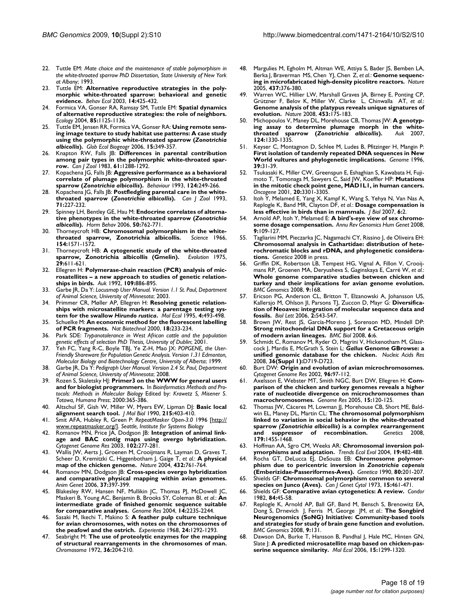- 22. Tuttle EM: *Mate choice and the maintenance of stable polymorphism in the white-throated sparrow PhD Dissertation, State University of New York at Albany*; 1993.
- 23. Tuttle EM: **Alternative reproductive strategies in the polymorphic white-throated sparrow: behavioral and genetic evidence.** *Behav Ecol* 2003, **14:**425-432.
- 24. Formica VA, Gonser RA, Ramsay SM, Tuttle EM: **Spatial dynamics of alternative reproductive strategies: the role of neighbors.** *Ecology* 2004, **85:**1125-1136.
- 25. Tuttle EM, Jensen RR, Formica VA, Gonser RA: **Using remote sensing image texture to study habitat use patterns: A case study using the polymorphic white-throated sparrow (***Zonotrichia albicollis***).** *Glob Ecol Biogeogr* 2006, **15:**349-357.
- 26. Knapton RW, Falls JB: **Differences in parental contribution among pair types in the polymorphic white-throated sparrow.** *Can J Zool* 1983, **61:**1288-1292.
- 27. Kopachena JG, Falls JB: **Aggressive performance as a behavioral correlate of plumage polymorphism in the white-throated sparrow (***Zonotrichia albicollis***).** *Behaviour* 1993, **124:**249-266.
- 28. Kopachena JG, Falls JB: **Postfledgling parental care in the whitethroated sparrow (***Zonotrichia albicollis***).** *Can J Zool* 1993, **71:**227-232.
- 29. Spinney LH, Bentley GE, Hau M: **Endocrine correlates of alternative phenotypes in the white-throated sparrow (***Zonotrichia albicollis***[\).](http://www.ncbi.nlm.nih.gov/entrez/query.fcgi?cmd=Retrieve&db=PubMed&dopt=Abstract&list_uids=16919277)** *Horm Behav* 2006, **50:**762-771.
- Thorneycroft HB: **Chromosomal polymorphism in the white-<br>
<b>throated sparrow. Zonotrichia albicollis.** Science 1966. [throated sparrow, Zonotrichia albicollis.](http://www.ncbi.nlm.nih.gov/entrez/query.fcgi?cmd=Retrieve&db=PubMed&dopt=Abstract&list_uids=17807298) **154:**1571-1572.
- 31. Thorneycroft HB: **A cytogenetic study of the white-throated sparrow, Zonotrichia albicollis (Gmelin).** *Evolution* 1975, **29:**611-621.
- 32. Ellegren H: **Polymerase-chain reaction (PCR) analysis of microsatellites – a new approach to studies of genetic relationships in birds.** *Auk* 1992, **109:**886-895.
- 33. Garbe JR, Da Y: *Locusmap User Manual. Version 1.1 St. Paul, Department of Animal Science, University of Minnesota*; 2003.
- 34. Primmer CR, Møller AP, Ellegren H: **Resolving genetic relationships with microsatellite markers: a parentage testing system for the swallow** *Hirundo rustica***[.](http://www.ncbi.nlm.nih.gov/entrez/query.fcgi?cmd=Retrieve&db=PubMed&dopt=Abstract&list_uids=8574445)** *Mol Ecol* 1995, **4:**493-498.
- 35. Schuelke M: **[An economic method for the fluorescent labelling](http://www.ncbi.nlm.nih.gov/entrez/query.fcgi?cmd=Retrieve&db=PubMed&dopt=Abstract&list_uids=10657137) [of PCR fragments.](http://www.ncbi.nlm.nih.gov/entrez/query.fcgi?cmd=Retrieve&db=PubMed&dopt=Abstract&list_uids=10657137)** *Nat Biotechnol* 2000, **18:**233-234.
- 36. Park SDE: *Trypanotolerance in West African cattle and the population genetic effects of selection PhD Thesis, University of Dublin*; 2001.
- 37. Yeh FC, Yang R-C, Boyle TBJ, Ye Z-H, Mao JX: *POPGENE, the User-Friendly Shareware for Population Genetic Analysis. Version 1.31 Edmonton, Molecular Biology and Biotechnology Centre, University of Alberta*; 1999.
- 38. Garbe JR, Da Y: *Pedigraph User Manual. Version 2.4 St. Paul, Department of Animal Science, University of Minnesota*; 2008.
- 39. Rozen S, Skaletsky HJ: **Primer3 on the WWW for general users and for biologist programmers.** In *Bioinformatics Methods and Protocols: Methods in Molecular Biology* Edited by: *Krawetz S, Misener S*. *Totowa, Humana Press*; 2000:365-386.
- 40. Altschul SF, Gish W, Miller W, Myers EW, Lipman DJ: **[Basic local](http://www.ncbi.nlm.nih.gov/entrez/query.fcgi?cmd=Retrieve&db=PubMed&dopt=Abstract&list_uids=2231712) [alignment search tool.](http://www.ncbi.nlm.nih.gov/entrez/query.fcgi?cmd=Retrieve&db=PubMed&dopt=Abstract&list_uids=2231712)** *J Mol Biol* 1990, **215:**403-410.
- 41. Smit AFA, Hubley R, Green P: *RepeatMasker Open-3.0* 1996 [[http://](http://www.repeatmasker.org/) [www.repeatmasker.org/](http://www.repeatmasker.org/)]. *Seattle, Institute for Systems Biology*
- 42. Romanov MN, Price JA, Dodgson JB: **[Integration of animal link](http://www.ncbi.nlm.nih.gov/entrez/query.fcgi?cmd=Retrieve&db=PubMed&dopt=Abstract&list_uids=14970717)[age and BAC contig maps using overgo hybridization.](http://www.ncbi.nlm.nih.gov/entrez/query.fcgi?cmd=Retrieve&db=PubMed&dopt=Abstract&list_uids=14970717)** *Cytogenet Genome Res* 2003, **102:**277-281.
- 43. Wallis JW, Aerts J, Groenen M, Crooijmans R, Layman D, Graves T, Scheer D, Kremitzki C, Higgenbotham J, Gaige T, *et al.*: **[A physical](http://www.ncbi.nlm.nih.gov/entrez/query.fcgi?cmd=Retrieve&db=PubMed&dopt=Abstract&list_uids=15592415) [map of the chicken genome.](http://www.ncbi.nlm.nih.gov/entrez/query.fcgi?cmd=Retrieve&db=PubMed&dopt=Abstract&list_uids=15592415)** *Nature* 2004, **432:**761-764.
- 44. Romanov MN, Dodgson JB: **[Cross-species overgo hybridization](http://www.ncbi.nlm.nih.gov/entrez/query.fcgi?cmd=Retrieve&db=PubMed&dopt=Abstract&list_uids=16879356) [and comparative physical mapping within avian genomes.](http://www.ncbi.nlm.nih.gov/entrez/query.fcgi?cmd=Retrieve&db=PubMed&dopt=Abstract&list_uids=16879356)** *Anim Genet* 2006, **37:**397-399.
- Blakesley RW, Hansen NF, Mullikin JC, Thomas PJ, McDowell JC, Maskeri B, Young AC, Benjamin B, Brooks SY, Coleman BI, *et al.*: **[An](http://www.ncbi.nlm.nih.gov/entrez/query.fcgi?cmd=Retrieve&db=PubMed&dopt=Abstract&list_uids=15479945) [intermediate grade of finished genomic sequence suitable](http://www.ncbi.nlm.nih.gov/entrez/query.fcgi?cmd=Retrieve&db=PubMed&dopt=Abstract&list_uids=15479945) [for comparative analyses.](http://www.ncbi.nlm.nih.gov/entrez/query.fcgi?cmd=Retrieve&db=PubMed&dopt=Abstract&list_uids=15479945)** *Genome Res* 2004, **14:**2235-2244.
- 46. Sasaki M, Ikechi T, Makino S: **[A feather pulp culture technique](http://www.ncbi.nlm.nih.gov/entrez/query.fcgi?cmd=Retrieve&db=PubMed&dopt=Abstract&list_uids=5703048) [for avian chromosomes, with notes on the chromosomes of](http://www.ncbi.nlm.nih.gov/entrez/query.fcgi?cmd=Retrieve&db=PubMed&dopt=Abstract&list_uids=5703048) [the peafowl and the ostrich.](http://www.ncbi.nlm.nih.gov/entrez/query.fcgi?cmd=Retrieve&db=PubMed&dopt=Abstract&list_uids=5703048)** *Experientia* 1968, **24:**1292-1293.
- 47. Seabright M: **[The use of proteolytic enzymes for the mapping](http://www.ncbi.nlm.nih.gov/entrez/query.fcgi?cmd=Retrieve&db=PubMed&dopt=Abstract&list_uids=5016007) [of structural rearrangements in the chromosomes of man.](http://www.ncbi.nlm.nih.gov/entrez/query.fcgi?cmd=Retrieve&db=PubMed&dopt=Abstract&list_uids=5016007)** *Chromosoma* 1972, **36:**204-210.
- 48. Margulies M, Egholm M, Altman WE, Attiya S, Bader JS, Bemben LA, Berka J, Braverman MS, Chen YJ, Chen Z, *et al.*: **[Genome sequenc](http://www.ncbi.nlm.nih.gov/entrez/query.fcgi?cmd=Retrieve&db=PubMed&dopt=Abstract&list_uids=16056220)[ing in microfabricated high-density picolitre reactors.](http://www.ncbi.nlm.nih.gov/entrez/query.fcgi?cmd=Retrieve&db=PubMed&dopt=Abstract&list_uids=16056220)** *Nature* 2005, **437:**376-380.
- 49. Warren WC, Hillier LW, Marshall Graves JA, Birney E, Ponting CP, Grützner F, Belov K, Miller W, Clarke L, Chinwalla AT, *et al.*: **[Genome analysis of the platypus reveals unique signatures of](http://www.ncbi.nlm.nih.gov/entrez/query.fcgi?cmd=Retrieve&db=PubMed&dopt=Abstract&list_uids=18464734) [evolution.](http://www.ncbi.nlm.nih.gov/entrez/query.fcgi?cmd=Retrieve&db=PubMed&dopt=Abstract&list_uids=18464734)** *Nature* 2008, **453:**175-183.
- 50. Michopoulos V, Maney DL, Morehouse CB, Thomas JW: **A genotyping assay to determine plumage morph in the white** $triangle$  sparrow (*Zonotrichia albicollis*). **124:**1330-1335.
- 51. Keyser C, Montagnon D, Schlee M, Ludes B, Pfitzinger H, Mangin P: **[First isolation of tandemly repeated DNA sequences in New](http://www.ncbi.nlm.nih.gov/entrez/query.fcgi?cmd=Retrieve&db=PubMed&dopt=Abstract&list_uids=8851796) [World vultures and phylogenetic implications.](http://www.ncbi.nlm.nih.gov/entrez/query.fcgi?cmd=Retrieve&db=PubMed&dopt=Abstract&list_uids=8851796)** *Genome* 1996, **39:**31-39.
- 52. Tsukasaki K, Miller CW, Greenspun E, Eshaghian S, Kawabata H, Fujimoto T, Tomonaga M, Sawyers C, Said JW, Koeffler HP: **[Mutations](http://www.ncbi.nlm.nih.gov/entrez/query.fcgi?cmd=Retrieve&db=PubMed&dopt=Abstract&list_uids=11423979) [in the mitotic check point gene, MAD1L1, in human cancers.](http://www.ncbi.nlm.nih.gov/entrez/query.fcgi?cmd=Retrieve&db=PubMed&dopt=Abstract&list_uids=11423979)** *Oncogene* 2001, **20:**3301-3305.
- 53. Itoh Y, Melamed E, Yang X, Kampf K, Wang S, Yehya N, Van Nas A, Replogle K, Band MR, Clayton DF, *et al.*: **[Dosage compensation is](http://www.ncbi.nlm.nih.gov/entrez/query.fcgi?cmd=Retrieve&db=PubMed&dopt=Abstract&list_uids=17352797) [less effective in birds than in mammals.](http://www.ncbi.nlm.nih.gov/entrez/query.fcgi?cmd=Retrieve&db=PubMed&dopt=Abstract&list_uids=17352797)** *J Biol* 2007, **6:**2.
- 54. Arnold AP, Itoh Y, Melamed E: **[A bird's-eye view of sex chromo](http://www.ncbi.nlm.nih.gov/entrez/query.fcgi?cmd=Retrieve&db=PubMed&dopt=Abstract&list_uids=18489256)[some dosage compensation.](http://www.ncbi.nlm.nih.gov/entrez/query.fcgi?cmd=Retrieve&db=PubMed&dopt=Abstract&list_uids=18489256)** *Annu Rev Genomics Hum Genet* 2008, **9:**109-127.
- 55. Tagliarini MM, Pieczarka JC, Nagamachi CY, Rissino J, de Oliveira EH: **[Chromosomal analysis in Cathartidae: distribution of hete](http://www.ncbi.nlm.nih.gov/entrez/query.fcgi?cmd=Retrieve&db=PubMed&dopt=Abstract&list_uids=18504528)rochromatic blocks and rDNA, and phylogenetic considera[tions.](http://www.ncbi.nlm.nih.gov/entrez/query.fcgi?cmd=Retrieve&db=PubMed&dopt=Abstract&list_uids=18504528)** *Genetica* 2008 in press.
- 56. Griffin DK, Robertson LB, Tempest HG, Vignal A, Fillon V, Crooijmans RP, Groenen MA, Deryusheva S, Gaginskaya E, Carré W, *et al.*: **[Whole genome comparative studies between chicken and](http://www.ncbi.nlm.nih.gov/entrez/query.fcgi?cmd=Retrieve&db=PubMed&dopt=Abstract&list_uids=18410676) turkey and their implications for avian genome evolution.** *BMC Genomics* 2008, **9:**168.
- 57. Ericson PG, Anderson CL, Britton T, Elzanowski A, Johansson US, Kallersjo M, Ohlson JI, Parsons TJ, Zuccon D, Mayr G: **[Diversifica](http://www.ncbi.nlm.nih.gov/entrez/query.fcgi?cmd=Retrieve&db=PubMed&dopt=Abstract&list_uids=17148284)[tion of Neoaves: integration of molecular sequence data and](http://www.ncbi.nlm.nih.gov/entrez/query.fcgi?cmd=Retrieve&db=PubMed&dopt=Abstract&list_uids=17148284) [fossils.](http://www.ncbi.nlm.nih.gov/entrez/query.fcgi?cmd=Retrieve&db=PubMed&dopt=Abstract&list_uids=17148284)** *Biol Lett* 2006, **2:**543-547.
- Brown JW, Rest JS, García-Moreno J, Sorenson MD, Mindell DP: **[Strong mitochondrial DNA support for a Cretaceous origin](http://www.ncbi.nlm.nih.gov/entrez/query.fcgi?cmd=Retrieve&db=PubMed&dopt=Abstract&list_uids=18226223) [of modern avian lineages.](http://www.ncbi.nlm.nih.gov/entrez/query.fcgi?cmd=Retrieve&db=PubMed&dopt=Abstract&list_uids=18226223)** *BMC Biol* 2008, **6:**6.
- 59. Schmidt C, Romanov M, Ryder O, Magrini V, Hickenotham M, Glasscock J, Mardis E, McGrath S, Stein L: *Gallus* **Genome GBrowse: a unified genomic database for the chicken.** *Nucleic Acids Res* 2008, **36(Suppl 1):**D719-D723.
- 60. Burt DW: **[Origin and evolution of avian microchromosomes.](http://www.ncbi.nlm.nih.gov/entrez/query.fcgi?cmd=Retrieve&db=PubMed&dopt=Abstract&list_uids=12438785)** *Cytogenet Genome Res* 2002, **96:**97-112.
- 61. Axelsson E, Webster MT, Smith NGC, Burt DW, Ellegren H: **[Com](http://www.ncbi.nlm.nih.gov/entrez/query.fcgi?cmd=Retrieve&db=PubMed&dopt=Abstract&list_uids=15590944)[parison of the chicken and turkey genomes reveals a higher](http://www.ncbi.nlm.nih.gov/entrez/query.fcgi?cmd=Retrieve&db=PubMed&dopt=Abstract&list_uids=15590944) rate of nucleotide divergence on microchromosomes than [macrochromosomes.](http://www.ncbi.nlm.nih.gov/entrez/query.fcgi?cmd=Retrieve&db=PubMed&dopt=Abstract&list_uids=15590944)** *Genome Res* 2005, **15:**120-125.
- Thomas JW, Cáceres M, Lowman JJ, Morehouse CB, Short ME, Baldwin EL, Maney DL, Martin CL: **The chromosomal polymorphism linked to variation in social behavior in the white-throated sparrow** *(Zonotrichia albicollis***[\) is a complex rearrangement](http://www.ncbi.nlm.nih.gov/entrez/query.fcgi?cmd=Retrieve&db=PubMed&dopt=Abstract&list_uids=18562641) [and suppressor of recombination.](http://www.ncbi.nlm.nih.gov/entrez/query.fcgi?cmd=Retrieve&db=PubMed&dopt=Abstract&list_uids=18562641)** *Genetics* 2008, **179:**1455-1468.
- 63. Hoffman AA, Sgro CM, Weeks AR: **[Chromosomal inversion pol](http://www.ncbi.nlm.nih.gov/entrez/query.fcgi?cmd=Retrieve&db=PubMed&dopt=Abstract&list_uids=16701311)[ymorphisms and adaptation.](http://www.ncbi.nlm.nih.gov/entrez/query.fcgi?cmd=Retrieve&db=PubMed&dopt=Abstract&list_uids=16701311)** *Trends Ecol Evol* 2004, **19:**482-488.
- 64. Rocha GT, DeLucca EJ, DeSouza EB: **Chromosome polymorphism due to pericentric inversion in** *Zonotrichia capensis* **(Emberizidae-Passeriformes-Aves).** *Genetica* 1990, **80:**201-207.
- 65. Shields GF: **Chromosomal polymorphism common to several species on Junco (Aves).** *Can J Genet Cytol* 1973, **15:**461-471.
- 66. Shields GF: **Comparative avian cytogenetics: A review.** *Condor* 1982, **84:**45-58.
- Replogle K, Arnold AP, Ball GF, Band M, Bensch S, Brenowitz EA, Dong S, Drnevich J, Ferris M, George JM, *et al.*: **[The Songbird](http://www.ncbi.nlm.nih.gov/entrez/query.fcgi?cmd=Retrieve&db=PubMed&dopt=Abstract&list_uids=18366674) [Neurogenomics \(SoNG\) Initiative: Community-based tools](http://www.ncbi.nlm.nih.gov/entrez/query.fcgi?cmd=Retrieve&db=PubMed&dopt=Abstract&list_uids=18366674) and strategies for study of brain gene function and evolution.** *BMC Genomics* 2008, **9:**131.
- 68. Dawson DA, Burke T, Hansson B, Pandhal J, Hale MC, Hinten GN, Slate |: [A predicted microsatellite map based on chicken-pas](http://www.ncbi.nlm.nih.gov/entrez/query.fcgi?cmd=Retrieve&db=PubMed&dopt=Abstract&list_uids=16626455)**[serine sequence similarity.](http://www.ncbi.nlm.nih.gov/entrez/query.fcgi?cmd=Retrieve&db=PubMed&dopt=Abstract&list_uids=16626455)** *Mol Ecol* 2006, **15:**1299-1320.